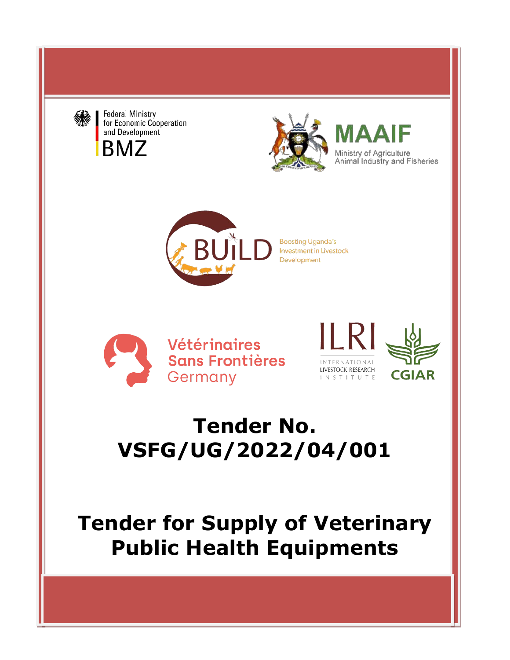

**Federal Ministry** for Economic Cooperation and Development **BMZ** 



Ministry of Agriculture Animal Industry and Fisheries



**Vétéringires Sans Frontières** Germany





# **Tender No. VSFG/UG/2022/04/001**

**Tender for Supply of Veterinary Public Health Equipments**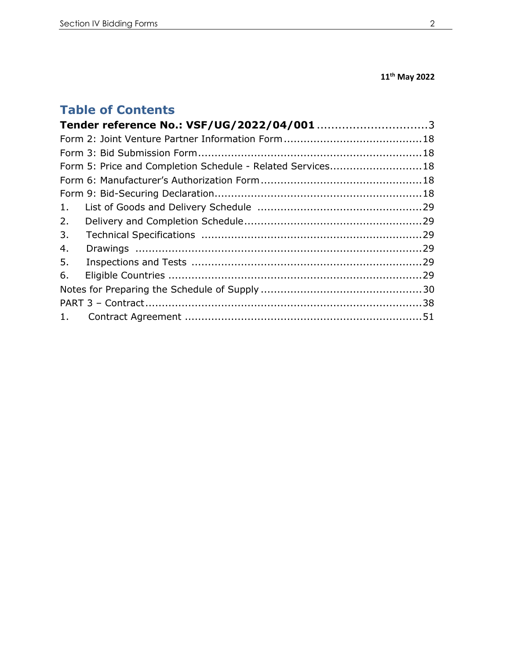# **11th May 2022**

# **Table of Contents**

|    | Form 5: Price and Completion Schedule - Related Services18 |  |
|----|------------------------------------------------------------|--|
|    |                                                            |  |
|    |                                                            |  |
| 1. |                                                            |  |
| 2. |                                                            |  |
| 3. |                                                            |  |
| 4. |                                                            |  |
| 5. |                                                            |  |
| 6. |                                                            |  |
|    |                                                            |  |
|    |                                                            |  |
|    |                                                            |  |
|    |                                                            |  |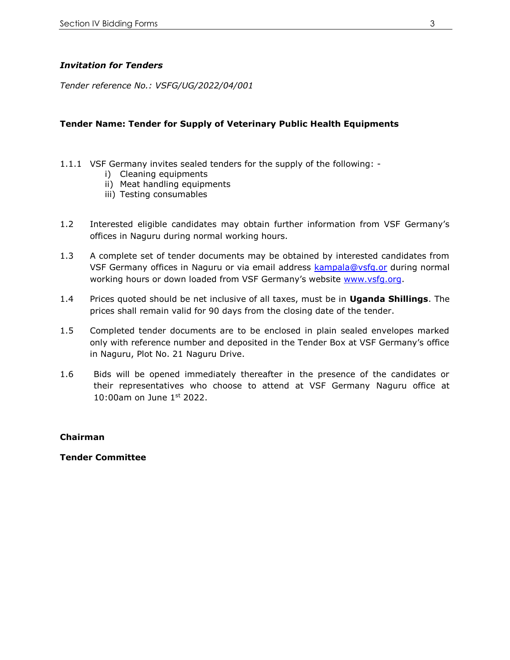# *Invitation for Tenders*

<span id="page-2-0"></span>*Tender reference No.: VSFG/UG/2022/04/001*

## **Tender Name: Tender for Supply of Veterinary Public Health Equipments**

- 1.1.1 VSF Germany invites sealed tenders for the supply of the following:
	- i) Cleaning equipments
	- ii) Meat handling equipments
	- iii) Testing consumables
- 1.2 Interested eligible candidates may obtain further information from VSF Germany's offices in Naguru during normal working hours.
- 1.3 A complete set of tender documents may be obtained by interested candidates from VSF Germany offices in Naguru or via email address [kampala@vsfg.or](mailto:kampala@vsfg.or) during normal working hours or down loaded from VSF Germany's website [www.vsfg.org.](http://www.vsfg.org/)
- 1.4 Prices quoted should be net inclusive of all taxes, must be in **Uganda Shillings**. The prices shall remain valid for 90 days from the closing date of the tender.
- 1.5 Completed tender documents are to be enclosed in plain sealed envelopes marked only with reference number and deposited in the Tender Box at VSF Germany's office in Naguru, Plot No. 21 Naguru Drive.
- 1.6 Bids will be opened immediately thereafter in the presence of the candidates or their representatives who choose to attend at VSF Germany Naguru office at 10:00am on June 1st 2022.

# **Chairman**

**Tender Committee**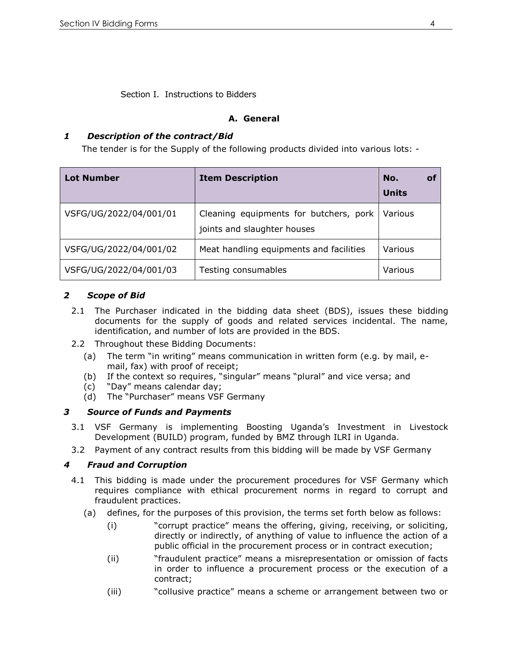Section I. Instructions to Bidders

# **A. General**

# *1 Description of the contract/Bid*

The tender is for the Supply of the following products divided into various lots: -

| <b>Lot Number</b>      | <b>Item Description</b>                                               | No.<br>of<br><b>Units</b> |
|------------------------|-----------------------------------------------------------------------|---------------------------|
| VSFG/UG/2022/04/001/01 | Cleaning equipments for butchers, pork<br>joints and slaughter houses | Various                   |
| VSFG/UG/2022/04/001/02 | Meat handling equipments and facilities                               | Various                   |
| VSFG/UG/2022/04/001/03 | Testing consumables                                                   | Various                   |

# *2 Scope of Bid*

- 2.1 The Purchaser indicated in the bidding data sheet (BDS), issues these bidding documents for the supply of goods and related services incidental. The name, identification, and number of lots are provided in the BDS.
- 2.2 Throughout these Bidding Documents:
	- (a) The term "in writing" means communication in written form (e.g. by mail, email, fax) with proof of receipt;
	- (b) If the context so requires, "singular" means "plural" and vice versa; and
	- (c) "Day" means calendar day;
	- (d) The "Purchaser" means VSF Germany

# *3 Source of Funds and Payments*

- 3.1 VSF Germany is implementing Boosting Uganda's Investment in Livestock Development (BUILD) program, funded by BMZ through ILRI in Uganda.
- 3.2 Payment of any contract results from this bidding will be made by VSF Germany

# *4 Fraud and Corruption*

- 4.1 This bidding is made under the procurement procedures for VSF Germany which requires compliance with ethical procurement norms in regard to corrupt and fraudulent practices.
	- (a) defines, for the purposes of this provision, the terms set forth below as follows:
		- (i) "corrupt practice" means the offering, giving, receiving, or soliciting, directly or indirectly, of anything of value to influence the action of a public official in the procurement process or in contract execution;
		- (ii) "fraudulent practice" means a misrepresentation or omission of facts in order to influence a procurement process or the execution of a contract;
		- (iii) "collusive practice" means a scheme or arrangement between two or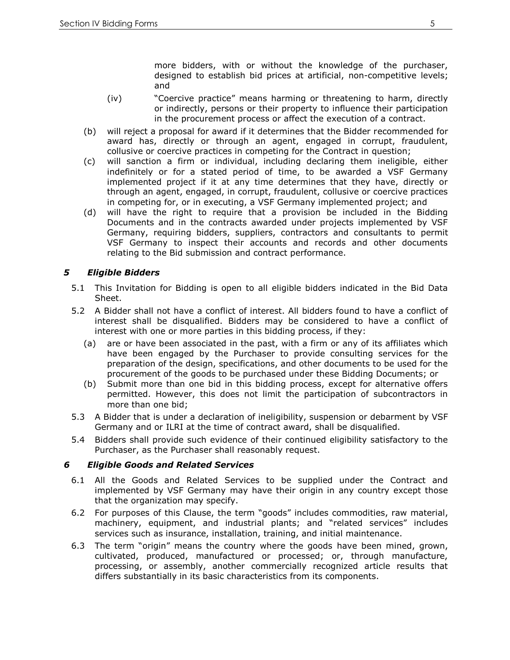more bidders, with or without the knowledge of the purchaser, designed to establish bid prices at artificial, non-competitive levels; and

- (iv) "Coercive practice" means harming or threatening to harm, directly or indirectly, persons or their property to influence their participation in the procurement process or affect the execution of a contract.
- (b) will reject a proposal for award if it determines that the Bidder recommended for award has, directly or through an agent, engaged in corrupt, fraudulent, collusive or coercive practices in competing for the Contract in question;
- (c) will sanction a firm or individual, including declaring them ineligible, either indefinitely or for a stated period of time, to be awarded a VSF Germany implemented project if it at any time determines that they have, directly or through an agent, engaged, in corrupt, fraudulent, collusive or coercive practices in competing for, or in executing, a VSF Germany implemented project; and
- (d) will have the right to require that a provision be included in the Bidding Documents and in the contracts awarded under projects implemented by VSF Germany, requiring bidders, suppliers, contractors and consultants to permit VSF Germany to inspect their accounts and records and other documents relating to the Bid submission and contract performance.

# *5 Eligible Bidders*

- 5.1 This Invitation for Bidding is open to all eligible bidders indicated in the Bid Data Sheet.
- 5.2 A Bidder shall not have a conflict of interest. All bidders found to have a conflict of interest shall be disqualified. Bidders may be considered to have a conflict of interest with one or more parties in this bidding process, if they:
	- (a) are or have been associated in the past, with a firm or any of its affiliates which have been engaged by the Purchaser to provide consulting services for the preparation of the design, specifications, and other documents to be used for the procurement of the goods to be purchased under these Bidding Documents; or
	- (b) Submit more than one bid in this bidding process, except for alternative offers permitted. However, this does not limit the participation of subcontractors in more than one bid;
- 5.3 A Bidder that is under a declaration of ineligibility, suspension or debarment by VSF Germany and or ILRI at the time of contract award, shall be disqualified.
- 5.4 Bidders shall provide such evidence of their continued eligibility satisfactory to the Purchaser, as the Purchaser shall reasonably request.

# *6 Eligible Goods and Related Services*

- 6.1 All the Goods and Related Services to be supplied under the Contract and implemented by VSF Germany may have their origin in any country except those that the organization may specify.
- 6.2 For purposes of this Clause, the term "goods" includes commodities, raw material, machinery, equipment, and industrial plants; and "related services" includes services such as insurance, installation, training, and initial maintenance.
- 6.3 The term "origin" means the country where the goods have been mined, grown, cultivated, produced, manufactured or processed; or, through manufacture, processing, or assembly, another commercially recognized article results that differs substantially in its basic characteristics from its components.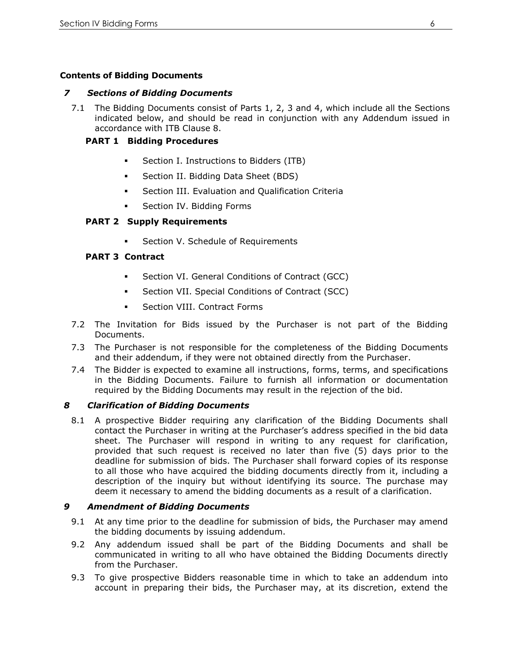# **Contents of Bidding Documents**

#### *7 Sections of Bidding Documents*

7.1 The Bidding Documents consist of Parts 1, 2, 3 and 4, which include all the Sections indicated below, and should be read in conjunction with any Addendum issued in accordance with ITB Clause 8.

#### **PART 1 Bidding Procedures**

- **•** Section I. Instructions to Bidders (ITB)
- Section II. Bidding Data Sheet (BDS)
- **•** Section III. Evaluation and Qualification Criteria
- **•** Section IV. Bidding Forms

#### **PART 2 Supply Requirements**

Section V. Schedule of Requirements

#### **PART 3 Contract**

- Section VI. General Conditions of Contract (GCC)
- Section VII. Special Conditions of Contract (SCC)
- **•** Section VIII. Contract Forms
- 7.2 The Invitation for Bids issued by the Purchaser is not part of the Bidding Documents.
- 7.3 The Purchaser is not responsible for the completeness of the Bidding Documents and their addendum, if they were not obtained directly from the Purchaser.
- 7.4 The Bidder is expected to examine all instructions, forms, terms, and specifications in the Bidding Documents. Failure to furnish all information or documentation required by the Bidding Documents may result in the rejection of the bid.

#### *8 Clarification of Bidding Documents*

8.1 A prospective Bidder requiring any clarification of the Bidding Documents shall contact the Purchaser in writing at the Purchaser's address specified in the bid data sheet. The Purchaser will respond in writing to any request for clarification, provided that such request is received no later than five (5) days prior to the deadline for submission of bids. The Purchaser shall forward copies of its response to all those who have acquired the bidding documents directly from it, including a description of the inquiry but without identifying its source. The purchase may deem it necessary to amend the bidding documents as a result of a clarification.

#### *9 Amendment of Bidding Documents*

- 9.1 At any time prior to the deadline for submission of bids, the Purchaser may amend the bidding documents by issuing addendum.
- 9.2 Any addendum issued shall be part of the Bidding Documents and shall be communicated in writing to all who have obtained the Bidding Documents directly from the Purchaser.
- 9.3 To give prospective Bidders reasonable time in which to take an addendum into account in preparing their bids, the Purchaser may, at its discretion, extend the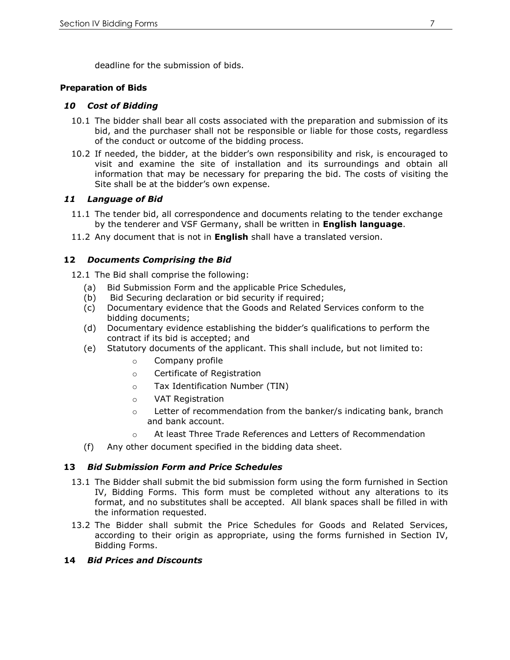deadline for the submission of bids.

#### **Preparation of Bids**

#### *10 Cost of Bidding*

- 10.1 The bidder shall bear all costs associated with the preparation and submission of its bid, and the purchaser shall not be responsible or liable for those costs, regardless of the conduct or outcome of the bidding process.
- 10.2 If needed, the bidder, at the bidder's own responsibility and risk, is encouraged to visit and examine the site of installation and its surroundings and obtain all information that may be necessary for preparing the bid. The costs of visiting the Site shall be at the bidder's own expense.

# *11 Language of Bid*

- 11.1 The tender bid, all correspondence and documents relating to the tender exchange by the tenderer and VSF Germany, shall be written in **English language**.
- 11.2 Any document that is not in **English** shall have a translated version.

# **12** *Documents Comprising the Bid*

12.1 The Bid shall comprise the following:

- (a) Bid Submission Form and the applicable Price Schedules,
- 
- (b) Bid Securing declaration or bid security if required;<br>(c) Documentary evidence that the Goods and Related ! Documentary evidence that the Goods and Related Services conform to the bidding documents;
- (d) Documentary evidence establishing the bidder's qualifications to perform the contract if its bid is accepted; and
- (e) Statutory documents of the applicant. This shall include, but not limited to:
	- o Company profile
	- o Certificate of Registration
	- o Tax Identification Number (TIN)
	- o VAT Registration
	- o Letter of recommendation from the banker/s indicating bank, branch and bank account.
	- o At least Three Trade References and Letters of Recommendation
- (f) Any other document specified in the bidding data sheet.

# **13** *Bid Submission Form and Price Schedules*

- 13.1 The Bidder shall submit the bid submission form using the form furnished in Section IV, Bidding Forms. This form must be completed without any alterations to its format, and no substitutes shall be accepted. All blank spaces shall be filled in with the information requested.
- 13.2 The Bidder shall submit the Price Schedules for Goods and Related Services, according to their origin as appropriate, using the forms furnished in Section IV, Bidding Forms.

#### **14** *Bid Prices and Discounts*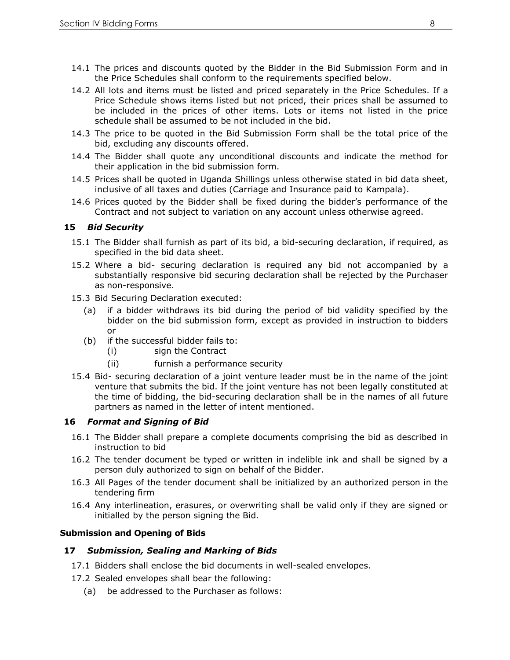- 14.1 The prices and discounts quoted by the Bidder in the Bid Submission Form and in the Price Schedules shall conform to the requirements specified below.
- 14.2 All lots and items must be listed and priced separately in the Price Schedules. If a Price Schedule shows items listed but not priced, their prices shall be assumed to be included in the prices of other items. Lots or items not listed in the price schedule shall be assumed to be not included in the bid.
- 14.3 The price to be quoted in the Bid Submission Form shall be the total price of the bid, excluding any discounts offered.
- 14.4 The Bidder shall quote any unconditional discounts and indicate the method for their application in the bid submission form.
- 14.5 Prices shall be quoted in Uganda Shillings unless otherwise stated in bid data sheet, inclusive of all taxes and duties (Carriage and Insurance paid to Kampala).
- 14.6 Prices quoted by the Bidder shall be fixed during the bidder's performance of the Contract and not subject to variation on any account unless otherwise agreed.

#### **15** *Bid Security*

- 15.1 The Bidder shall furnish as part of its bid, a bid-securing declaration, if required, as specified in the bid data sheet.
- 15.2 Where a bid- securing declaration is required any bid not accompanied by a substantially responsive bid securing declaration shall be rejected by the Purchaser as non-responsive.
- 15.3 Bid Securing Declaration executed:
	- (a) if a bidder withdraws its bid during the period of bid validity specified by the bidder on the bid submission form, except as provided in instruction to bidders or
	- (b) if the successful bidder fails to:
		- (i) sign the Contract
		- (ii) furnish a performance security
- 15.4 Bid- securing declaration of a joint venture leader must be in the name of the joint venture that submits the bid. If the joint venture has not been legally constituted at the time of bidding, the bid-securing declaration shall be in the names of all future partners as named in the letter of intent mentioned.

#### **16** *Format and Signing of Bid*

- 16.1 The Bidder shall prepare a complete documents comprising the bid as described in instruction to bid
- 16.2 The tender document be typed or written in indelible ink and shall be signed by a person duly authorized to sign on behalf of the Bidder.
- 16.3 All Pages of the tender document shall be initialized by an authorized person in the tendering firm
- 16.4 Any interlineation, erasures, or overwriting shall be valid only if they are signed or initialled by the person signing the Bid.

#### **Submission and Opening of Bids**

#### **17** *Submission, Sealing and Marking of Bids*

- 17.1 Bidders shall enclose the bid documents in well-sealed envelopes.
- 17.2 Sealed envelopes shall bear the following:
	- (a) be addressed to the Purchaser as follows: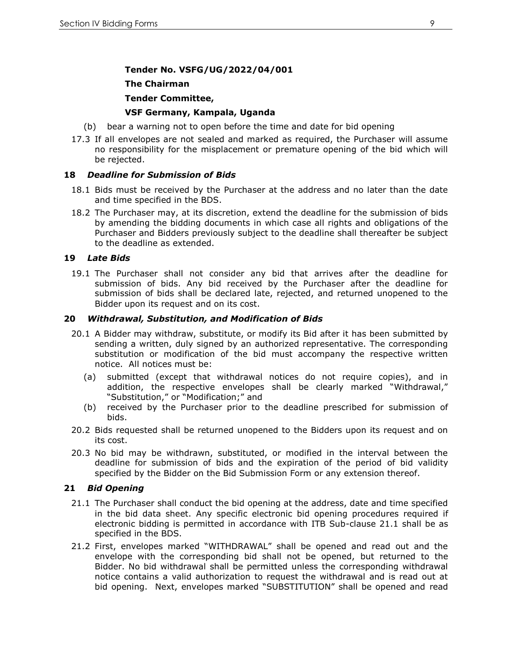#### **Tender No. VSFG/UG/2022/04/001**

#### **The Chairman**

#### **Tender Committee,**

#### **VSF Germany, Kampala, Uganda**

- (b) bear a warning not to open before the time and date for bid opening
- 17.3 If all envelopes are not sealed and marked as required, the Purchaser will assume no responsibility for the misplacement or premature opening of the bid which will be rejected.

#### **18** *Deadline for Submission of Bids*

- 18.1 Bids must be received by the Purchaser at the address and no later than the date and time specified in the BDS.
- 18.2 The Purchaser may, at its discretion, extend the deadline for the submission of bids by amending the bidding documents in which case all rights and obligations of the Purchaser and Bidders previously subject to the deadline shall thereafter be subject to the deadline as extended.

#### **19** *Late Bids*

19.1 The Purchaser shall not consider any bid that arrives after the deadline for submission of bids. Any bid received by the Purchaser after the deadline for submission of bids shall be declared late, rejected, and returned unopened to the Bidder upon its request and on its cost.

#### **20** *Withdrawal, Substitution, and Modification of Bids*

- 20.1 A Bidder may withdraw, substitute, or modify its Bid after it has been submitted by sending a written, duly signed by an authorized representative. The corresponding substitution or modification of the bid must accompany the respective written notice. All notices must be:
	- (a) submitted (except that withdrawal notices do not require copies), and in addition, the respective envelopes shall be clearly marked "Withdrawal," "Substitution," or "Modification;" and
	- (b) received by the Purchaser prior to the deadline prescribed for submission of bids.
- 20.2 Bids requested shall be returned unopened to the Bidders upon its request and on its cost.
- 20.3 No bid may be withdrawn, substituted, or modified in the interval between the deadline for submission of bids and the expiration of the period of bid validity specified by the Bidder on the Bid Submission Form or any extension thereof.

#### **21** *Bid Opening*

- 21.1 The Purchaser shall conduct the bid opening at the address, date and time specified in the bid data sheet. Any specific electronic bid opening procedures required if electronic bidding is permitted in accordance with ITB Sub-clause 21.1 shall be as specified in the BDS.
- 21.2 First, envelopes marked "WITHDRAWAL" shall be opened and read out and the envelope with the corresponding bid shall not be opened, but returned to the Bidder. No bid withdrawal shall be permitted unless the corresponding withdrawal notice contains a valid authorization to request the withdrawal and is read out at bid opening. Next, envelopes marked "SUBSTITUTION" shall be opened and read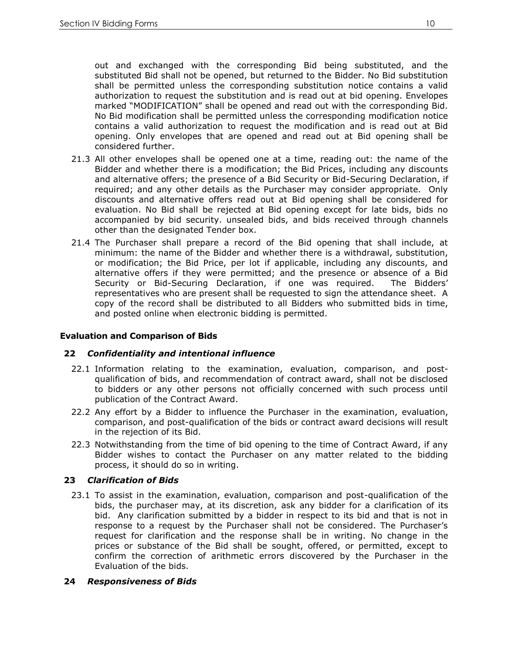out and exchanged with the corresponding Bid being substituted, and the substituted Bid shall not be opened, but returned to the Bidder. No Bid substitution shall be permitted unless the corresponding substitution notice contains a valid authorization to request the substitution and is read out at bid opening. Envelopes marked "MODIFICATION" shall be opened and read out with the corresponding Bid. No Bid modification shall be permitted unless the corresponding modification notice contains a valid authorization to request the modification and is read out at Bid opening. Only envelopes that are opened and read out at Bid opening shall be considered further.

- 21.3 All other envelopes shall be opened one at a time, reading out: the name of the Bidder and whether there is a modification; the Bid Prices, including any discounts and alternative offers; the presence of a Bid Security or Bid-Securing Declaration, if required; and any other details as the Purchaser may consider appropriate. Only discounts and alternative offers read out at Bid opening shall be considered for evaluation. No Bid shall be rejected at Bid opening except for late bids, bids no accompanied by bid security. unsealed bids, and bids received through channels other than the designated Tender box.
- 21.4 The Purchaser shall prepare a record of the Bid opening that shall include, at minimum: the name of the Bidder and whether there is a withdrawal, substitution, or modification; the Bid Price, per lot if applicable, including any discounts, and alternative offers if they were permitted; and the presence or absence of a Bid Security or Bid-Securing Declaration, if one was required. The Bidders' representatives who are present shall be requested to sign the attendance sheet. A copy of the record shall be distributed to all Bidders who submitted bids in time, and posted online when electronic bidding is permitted.

# **Evaluation and Comparison of Bids**

# **22** *Confidentiality and intentional influence*

- 22.1 Information relating to the examination, evaluation, comparison, and postqualification of bids, and recommendation of contract award, shall not be disclosed to bidders or any other persons not officially concerned with such process until publication of the Contract Award.
- 22.2 Any effort by a Bidder to influence the Purchaser in the examination, evaluation, comparison, and post-qualification of the bids or contract award decisions will result in the rejection of its Bid.
- 22.3 Notwithstanding from the time of bid opening to the time of Contract Award, if any Bidder wishes to contact the Purchaser on any matter related to the bidding process, it should do so in writing.

# **23** *Clarification of Bids*

23.1 To assist in the examination, evaluation, comparison and post-qualification of the bids, the purchaser may, at its discretion, ask any bidder for a clarification of its bid. Any clarification submitted by a bidder in respect to its bid and that is not in response to a request by the Purchaser shall not be considered. The Purchaser's request for clarification and the response shall be in writing. No change in the prices or substance of the Bid shall be sought, offered, or permitted, except to confirm the correction of arithmetic errors discovered by the Purchaser in the Evaluation of the bids.

# **24** *Responsiveness of Bids*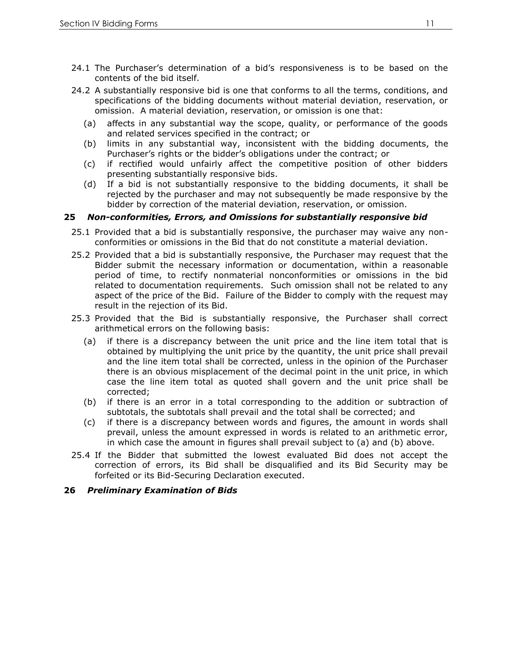- 24.1 The Purchaser's determination of a bid's responsiveness is to be based on the contents of the bid itself.
- 24.2 A substantially responsive bid is one that conforms to all the terms, conditions, and specifications of the bidding documents without material deviation, reservation, or omission. A material deviation, reservation, or omission is one that:
	- (a) affects in any substantial way the scope, quality, or performance of the goods and related services specified in the contract; or
	- (b) limits in any substantial way, inconsistent with the bidding documents, the Purchaser's rights or the bidder's obligations under the contract; or
	- (c) if rectified would unfairly affect the competitive position of other bidders presenting substantially responsive bids.
	- (d) If a bid is not substantially responsive to the bidding documents, it shall be rejected by the purchaser and may not subsequently be made responsive by the bidder by correction of the material deviation, reservation, or omission.

#### **25** *Non-conformities, Errors, and Omissions for substantially responsive bid*

- 25.1 Provided that a bid is substantially responsive, the purchaser may waive any nonconformities or omissions in the Bid that do not constitute a material deviation.
- 25.2 Provided that a bid is substantially responsive, the Purchaser may request that the Bidder submit the necessary information or documentation, within a reasonable period of time, to rectify nonmaterial nonconformities or omissions in the bid related to documentation requirements. Such omission shall not be related to any aspect of the price of the Bid. Failure of the Bidder to comply with the request may result in the rejection of its Bid.
- 25.3 Provided that the Bid is substantially responsive, the Purchaser shall correct arithmetical errors on the following basis:
	- (a) if there is a discrepancy between the unit price and the line item total that is obtained by multiplying the unit price by the quantity, the unit price shall prevail and the line item total shall be corrected, unless in the opinion of the Purchaser there is an obvious misplacement of the decimal point in the unit price, in which case the line item total as quoted shall govern and the unit price shall be corrected;
	- (b) if there is an error in a total corresponding to the addition or subtraction of subtotals, the subtotals shall prevail and the total shall be corrected; and
	- (c) if there is a discrepancy between words and figures, the amount in words shall prevail, unless the amount expressed in words is related to an arithmetic error, in which case the amount in figures shall prevail subject to (a) and (b) above.
- 25.4 If the Bidder that submitted the lowest evaluated Bid does not accept the correction of errors, its Bid shall be disqualified and its Bid Security may be forfeited or its Bid-Securing Declaration executed.

#### **26** *Preliminary Examination of Bids*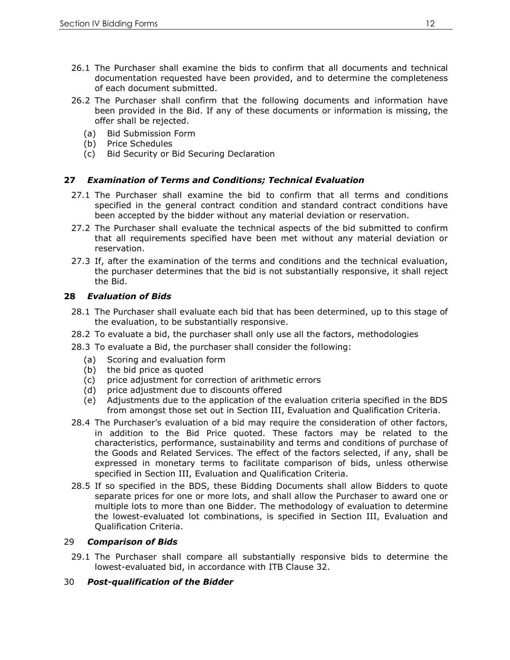- 26.1 The Purchaser shall examine the bids to confirm that all documents and technical documentation requested have been provided, and to determine the completeness of each document submitted.
- 26.2 The Purchaser shall confirm that the following documents and information have been provided in the Bid. If any of these documents or information is missing, the offer shall be rejected.
	- (a) Bid Submission Form
	- (b) Price Schedules
	- (c) Bid Security or Bid Securing Declaration

#### **27** *Examination of Terms and Conditions; Technical Evaluation*

- 27.1 The Purchaser shall examine the bid to confirm that all terms and conditions specified in the general contract condition and standard contract conditions have been accepted by the bidder without any material deviation or reservation.
- 27.2 The Purchaser shall evaluate the technical aspects of the bid submitted to confirm that all requirements specified have been met without any material deviation or reservation.
- 27.3 If, after the examination of the terms and conditions and the technical evaluation, the purchaser determines that the bid is not substantially responsive, it shall reject the Bid.

#### **28** *Evaluation of Bids*

- 28.1 The Purchaser shall evaluate each bid that has been determined, up to this stage of the evaluation, to be substantially responsive.
- 28.2 To evaluate a bid, the purchaser shall only use all the factors, methodologies
- 28.3 To evaluate a Bid, the purchaser shall consider the following:
	- (a) Scoring and evaluation form
	- (b) the bid price as quoted
	- (c) price adjustment for correction of arithmetic errors
	- (d) price adjustment due to discounts offered
	- (e) Adjustments due to the application of the evaluation criteria specified in the BDS from amongst those set out in Section III, Evaluation and Qualification Criteria.
- 28.4 The Purchaser's evaluation of a bid may require the consideration of other factors, in addition to the Bid Price quoted. These factors may be related to the characteristics, performance, sustainability and terms and conditions of purchase of the Goods and Related Services. The effect of the factors selected, if any, shall be expressed in monetary terms to facilitate comparison of bids, unless otherwise specified in Section III, Evaluation and Qualification Criteria.
- 28.5 If so specified in the BDS, these Bidding Documents shall allow Bidders to quote separate prices for one or more lots, and shall allow the Purchaser to award one or multiple lots to more than one Bidder. The methodology of evaluation to determine the lowest-evaluated lot combinations, is specified in Section III, Evaluation and Qualification Criteria.

#### 29 *Comparison of Bids*

29.1 The Purchaser shall compare all substantially responsive bids to determine the lowest-evaluated bid, in accordance with ITB Clause 32.

# 30 *Post-qualification of the Bidder*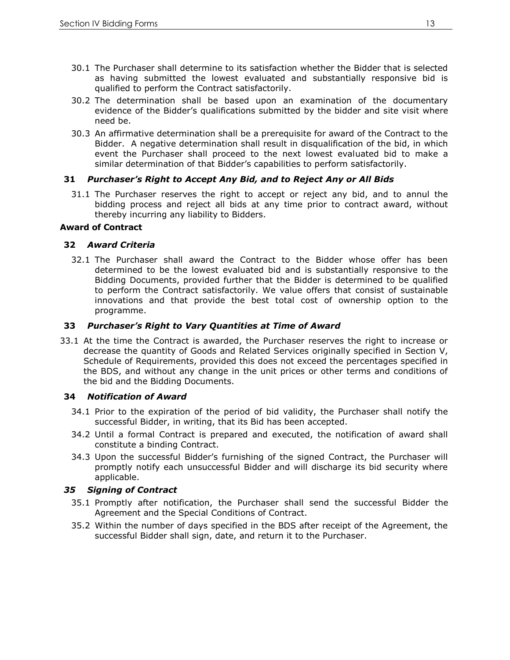- 30.1 The Purchaser shall determine to its satisfaction whether the Bidder that is selected as having submitted the lowest evaluated and substantially responsive bid is qualified to perform the Contract satisfactorily.
- 30.2 The determination shall be based upon an examination of the documentary evidence of the Bidder's qualifications submitted by the bidder and site visit where need be.
- 30.3 An affirmative determination shall be a prerequisite for award of the Contract to the Bidder. A negative determination shall result in disqualification of the bid, in which event the Purchaser shall proceed to the next lowest evaluated bid to make a similar determination of that Bidder's capabilities to perform satisfactorily.

#### **31** *Purchaser's Right to Accept Any Bid, and to Reject Any or All Bids*

31.1 The Purchaser reserves the right to accept or reject any bid, and to annul the bidding process and reject all bids at any time prior to contract award, without thereby incurring any liability to Bidders.

#### **Award of Contract**

#### **32** *Award Criteria*

32.1 The Purchaser shall award the Contract to the Bidder whose offer has been determined to be the lowest evaluated bid and is substantially responsive to the Bidding Documents, provided further that the Bidder is determined to be qualified to perform the Contract satisfactorily. We value offers that consist of sustainable innovations and that provide the best total cost of ownership option to the programme.

#### **33** *Purchaser's Right to Vary Quantities at Time of Award*

33.1 At the time the Contract is awarded, the Purchaser reserves the right to increase or decrease the quantity of Goods and Related Services originally specified in Section V, Schedule of Requirements, provided this does not exceed the percentages specified in the BDS, and without any change in the unit prices or other terms and conditions of the bid and the Bidding Documents.

#### **34** *Notification of Award*

- 34.1 Prior to the expiration of the period of bid validity, the Purchaser shall notify the successful Bidder, in writing, that its Bid has been accepted.
- 34.2 Until a formal Contract is prepared and executed, the notification of award shall constitute a binding Contract.
- 34.3 Upon the successful Bidder's furnishing of the signed Contract, the Purchaser will promptly notify each unsuccessful Bidder and will discharge its bid security where applicable.

# *35 Signing of Contract*

- 35.1 Promptly after notification, the Purchaser shall send the successful Bidder the Agreement and the Special Conditions of Contract.
- 35.2 Within the number of days specified in the BDS after receipt of the Agreement, the successful Bidder shall sign, date, and return it to the Purchaser.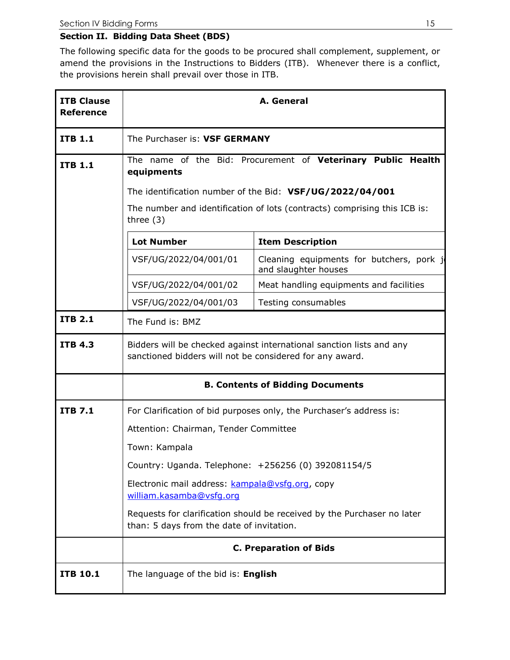# **Section II. Bidding Data Sheet (BDS)**

The following specific data for the goods to be procured shall complement, supplement, or amend the provisions in the Instructions to Bidders (ITB). Whenever there is a conflict, the provisions herein shall prevail over those in ITB.

| <b>ITB Clause</b><br><b>Reference</b> | A. General                                                                                                                       |                                                                         |  |  |  |  |
|---------------------------------------|----------------------------------------------------------------------------------------------------------------------------------|-------------------------------------------------------------------------|--|--|--|--|
| <b>ITB 1.1</b>                        | The Purchaser is: VSF GERMANY                                                                                                    |                                                                         |  |  |  |  |
| <b>ITB 1.1</b>                        | equipments                                                                                                                       | The name of the Bid: Procurement of Veterinary Public Health            |  |  |  |  |
|                                       |                                                                                                                                  | The identification number of the Bid: VSF/UG/2022/04/001                |  |  |  |  |
|                                       | The number and identification of lots (contracts) comprising this ICB is:<br>three $(3)$                                         |                                                                         |  |  |  |  |
|                                       | <b>Lot Number</b>                                                                                                                | <b>Item Description</b>                                                 |  |  |  |  |
|                                       | VSF/UG/2022/04/001/01                                                                                                            | Cleaning equipments for butchers, pork j<br>and slaughter houses        |  |  |  |  |
|                                       | VSF/UG/2022/04/001/02                                                                                                            | Meat handling equipments and facilities                                 |  |  |  |  |
|                                       | VSF/UG/2022/04/001/03                                                                                                            | Testing consumables                                                     |  |  |  |  |
| <b>ITB 2.1</b>                        | The Fund is: BMZ                                                                                                                 |                                                                         |  |  |  |  |
| <b>ITB 4.3</b>                        | Bidders will be checked against international sanction lists and any<br>sanctioned bidders will not be considered for any award. |                                                                         |  |  |  |  |
|                                       |                                                                                                                                  | <b>B. Contents of Bidding Documents</b>                                 |  |  |  |  |
| <b>ITB 7.1</b>                        |                                                                                                                                  | For Clarification of bid purposes only, the Purchaser's address is:     |  |  |  |  |
|                                       | Attention: Chairman, Tender Committee                                                                                            |                                                                         |  |  |  |  |
|                                       | Town: Kampala                                                                                                                    |                                                                         |  |  |  |  |
|                                       | Country: Uganda. Telephone: +256256 (0) 392081154/5                                                                              |                                                                         |  |  |  |  |
|                                       | Electronic mail address: kampala@vsfg.org, copy<br>william.kasamba@vsfq.org                                                      |                                                                         |  |  |  |  |
|                                       | than: 5 days from the date of invitation.                                                                                        | Requests for clarification should be received by the Purchaser no later |  |  |  |  |
|                                       |                                                                                                                                  | <b>C. Preparation of Bids</b>                                           |  |  |  |  |
| <b>ITB 10.1</b>                       | The language of the bid is: English                                                                                              |                                                                         |  |  |  |  |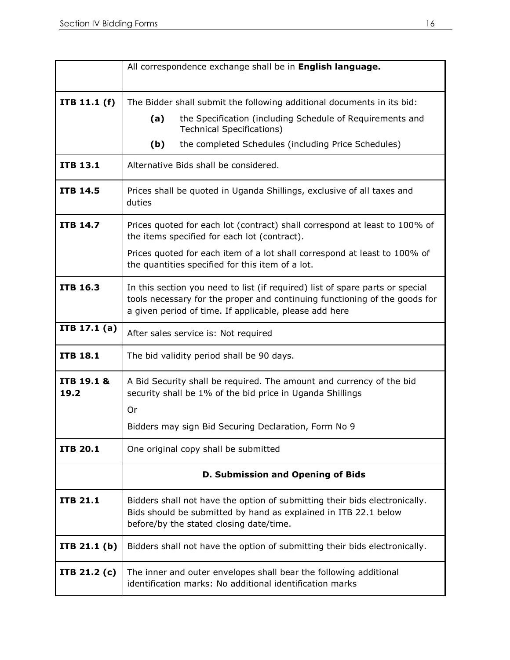|                    | All correspondence exchange shall be in English language.                                                                                                                                                             |  |  |  |  |  |
|--------------------|-----------------------------------------------------------------------------------------------------------------------------------------------------------------------------------------------------------------------|--|--|--|--|--|
|                    |                                                                                                                                                                                                                       |  |  |  |  |  |
| ITB 11.1 (f)       | The Bidder shall submit the following additional documents in its bid:                                                                                                                                                |  |  |  |  |  |
|                    | the Specification (including Schedule of Requirements and<br>(a)<br><b>Technical Specifications)</b>                                                                                                                  |  |  |  |  |  |
|                    | (b)<br>the completed Schedules (including Price Schedules)                                                                                                                                                            |  |  |  |  |  |
| <b>ITB 13.1</b>    | Alternative Bids shall be considered.                                                                                                                                                                                 |  |  |  |  |  |
| <b>ITB 14.5</b>    | Prices shall be quoted in Uganda Shillings, exclusive of all taxes and<br>duties                                                                                                                                      |  |  |  |  |  |
| <b>ITB 14.7</b>    | Prices quoted for each lot (contract) shall correspond at least to 100% of<br>the items specified for each lot (contract).                                                                                            |  |  |  |  |  |
|                    | Prices quoted for each item of a lot shall correspond at least to 100% of<br>the quantities specified for this item of a lot.                                                                                         |  |  |  |  |  |
| <b>ITB 16.3</b>    | In this section you need to list (if required) list of spare parts or special<br>tools necessary for the proper and continuing functioning of the goods for<br>a given period of time. If applicable, please add here |  |  |  |  |  |
| ITB 17.1 (a)       | After sales service is: Not required                                                                                                                                                                                  |  |  |  |  |  |
| <b>ITB 18.1</b>    | The bid validity period shall be 90 days.                                                                                                                                                                             |  |  |  |  |  |
| ITB 19.1 &<br>19.2 | A Bid Security shall be required. The amount and currency of the bid<br>security shall be 1% of the bid price in Uganda Shillings<br>Or                                                                               |  |  |  |  |  |
|                    | Bidders may sign Bid Securing Declaration, Form No 9                                                                                                                                                                  |  |  |  |  |  |
| <b>ITB 20.1</b>    | One original copy shall be submitted                                                                                                                                                                                  |  |  |  |  |  |
|                    | D. Submission and Opening of Bids                                                                                                                                                                                     |  |  |  |  |  |
| <b>ITB 21.1</b>    | Bidders shall not have the option of submitting their bids electronically.<br>Bids should be submitted by hand as explained in ITB 22.1 below<br>before/by the stated closing date/time.                              |  |  |  |  |  |
| ITB $21.1(b)$      | Bidders shall not have the option of submitting their bids electronically.                                                                                                                                            |  |  |  |  |  |
| ITB $21.2(c)$      | The inner and outer envelopes shall bear the following additional<br>identification marks: No additional identification marks                                                                                         |  |  |  |  |  |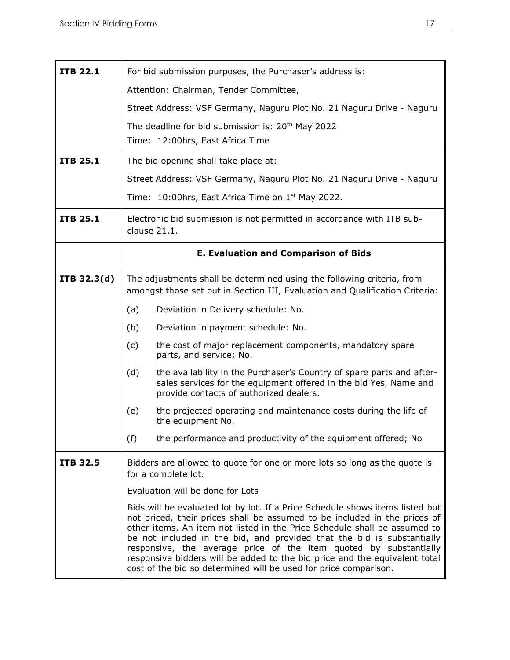| <b>ITB 22.1</b> | For bid submission purposes, the Purchaser's address is:                                                                                                                                                                                                                                                                                                                                                                                                                                                                                 |
|-----------------|------------------------------------------------------------------------------------------------------------------------------------------------------------------------------------------------------------------------------------------------------------------------------------------------------------------------------------------------------------------------------------------------------------------------------------------------------------------------------------------------------------------------------------------|
|                 | Attention: Chairman, Tender Committee,                                                                                                                                                                                                                                                                                                                                                                                                                                                                                                   |
|                 | Street Address: VSF Germany, Naguru Plot No. 21 Naguru Drive - Naguru                                                                                                                                                                                                                                                                                                                                                                                                                                                                    |
|                 | The deadline for bid submission is: 20 <sup>th</sup> May 2022                                                                                                                                                                                                                                                                                                                                                                                                                                                                            |
|                 | Time: 12:00hrs, East Africa Time                                                                                                                                                                                                                                                                                                                                                                                                                                                                                                         |
| <b>ITB 25.1</b> | The bid opening shall take place at:                                                                                                                                                                                                                                                                                                                                                                                                                                                                                                     |
|                 | Street Address: VSF Germany, Naguru Plot No. 21 Naguru Drive - Naguru                                                                                                                                                                                                                                                                                                                                                                                                                                                                    |
|                 | Time: $10:00$ hrs, East Africa Time on $1st$ May 2022.                                                                                                                                                                                                                                                                                                                                                                                                                                                                                   |
| <b>ITB 25.1</b> | Electronic bid submission is not permitted in accordance with ITB sub-<br>clause 21.1.                                                                                                                                                                                                                                                                                                                                                                                                                                                   |
|                 | <b>E. Evaluation and Comparison of Bids</b>                                                                                                                                                                                                                                                                                                                                                                                                                                                                                              |
| ITB 32.3(d)     | The adjustments shall be determined using the following criteria, from<br>amongst those set out in Section III, Evaluation and Qualification Criteria:                                                                                                                                                                                                                                                                                                                                                                                   |
|                 | Deviation in Delivery schedule: No.<br>(a)                                                                                                                                                                                                                                                                                                                                                                                                                                                                                               |
|                 | (b)<br>Deviation in payment schedule: No.                                                                                                                                                                                                                                                                                                                                                                                                                                                                                                |
|                 | (c)<br>the cost of major replacement components, mandatory spare<br>parts, and service: No.                                                                                                                                                                                                                                                                                                                                                                                                                                              |
|                 | (d)<br>the availability in the Purchaser's Country of spare parts and after-<br>sales services for the equipment offered in the bid Yes, Name and<br>provide contacts of authorized dealers.                                                                                                                                                                                                                                                                                                                                             |
|                 | (e)<br>the projected operating and maintenance costs during the life of<br>the equipment No.                                                                                                                                                                                                                                                                                                                                                                                                                                             |
|                 | the performance and productivity of the equipment offered; No<br>(f)                                                                                                                                                                                                                                                                                                                                                                                                                                                                     |
| <b>ITB 32.5</b> | Bidders are allowed to quote for one or more lots so long as the quote is<br>for a complete lot.                                                                                                                                                                                                                                                                                                                                                                                                                                         |
|                 | Evaluation will be done for Lots                                                                                                                                                                                                                                                                                                                                                                                                                                                                                                         |
|                 | Bids will be evaluated lot by lot. If a Price Schedule shows items listed but<br>not priced, their prices shall be assumed to be included in the prices of<br>other items. An item not listed in the Price Schedule shall be assumed to<br>be not included in the bid, and provided that the bid is substantially<br>responsive, the average price of the item quoted by substantially<br>responsive bidders will be added to the bid price and the equivalent total<br>cost of the bid so determined will be used for price comparison. |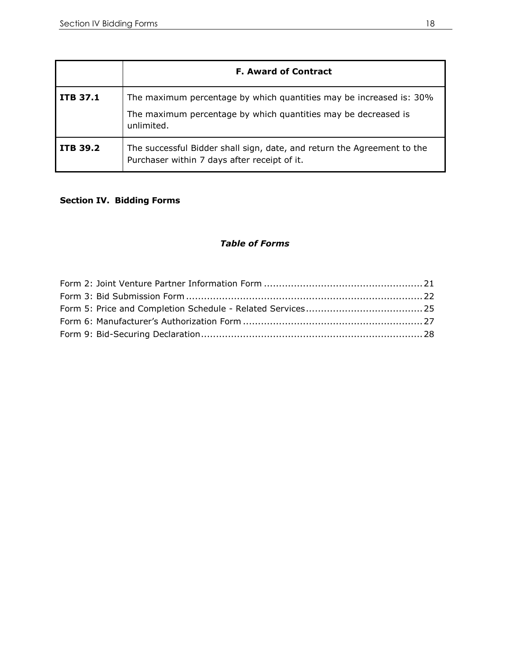|                 | <b>F. Award of Contract</b>                                                                                                                         |
|-----------------|-----------------------------------------------------------------------------------------------------------------------------------------------------|
| <b>ITB 37.1</b> | The maximum percentage by which quantities may be increased is: 30%<br>The maximum percentage by which quantities may be decreased is<br>unlimited. |
| ITB 39.2        | The successful Bidder shall sign, date, and return the Agreement to the<br>Purchaser within 7 days after receipt of it.                             |

# **Section IV. Bidding Forms**

# *Table of Forms*

<span id="page-17-4"></span><span id="page-17-3"></span><span id="page-17-2"></span><span id="page-17-1"></span><span id="page-17-0"></span>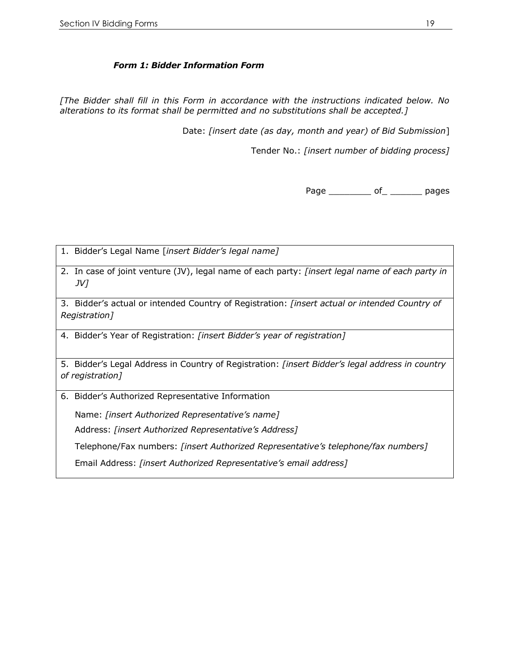## *Form 1: Bidder Information Form*

*[The Bidder shall fill in this Form in accordance with the instructions indicated below. No alterations to its format shall be permitted and no substitutions shall be accepted.]*

Date: *[insert date (as day, month and year) of Bid Submission*]

Tender No.: *[insert number of bidding process]*

Page \_\_\_\_\_\_\_\_\_\_\_\_ of \_\_\_\_\_\_\_\_\_\_\_ pages

1. Bidder's Legal Name [*insert Bidder's legal name]*

2. In case of joint venture (JV), legal name of each party: *[insert legal name of each party in JV]*

3. Bidder's actual or intended Country of Registration: *[insert actual or intended Country of Registration]*

4. Bidder's Year of Registration: *[insert Bidder's year of registration]*

5. Bidder's Legal Address in Country of Registration: *[insert Bidder's legal address in country of registration]*

6. Bidder's Authorized Representative Information

Name: *[insert Authorized Representative's name]*

Address: *[insert Authorized Representative's Address]*

Telephone/Fax numbers: *[insert Authorized Representative's telephone/fax numbers]*

Email Address: *[insert Authorized Representative's email address]*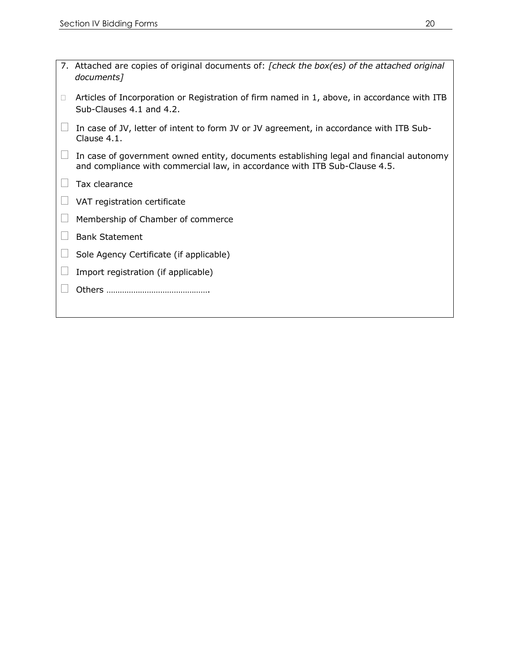| 7. Attached are copies of original documents of: [check the box(es) of the attached original<br>documents]                                                            |
|-----------------------------------------------------------------------------------------------------------------------------------------------------------------------|
| Articles of Incorporation or Registration of firm named in 1, above, in accordance with ITB<br>Sub-Clauses 4.1 and 4.2.                                               |
| In case of JV, letter of intent to form JV or JV agreement, in accordance with ITB Sub-<br>Clause 4.1.                                                                |
| In case of government owned entity, documents establishing legal and financial autonomy<br>and compliance with commercial law, in accordance with ITB Sub-Clause 4.5. |
| Tax clearance                                                                                                                                                         |
| VAT registration certificate                                                                                                                                          |
| Membership of Chamber of commerce                                                                                                                                     |
| <b>Bank Statement</b>                                                                                                                                                 |
| Sole Agency Certificate (if applicable)                                                                                                                               |
| Import registration (if applicable)                                                                                                                                   |
|                                                                                                                                                                       |
|                                                                                                                                                                       |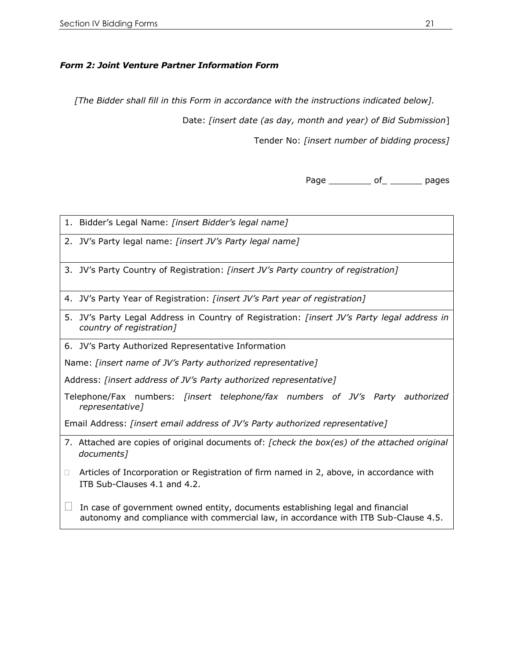# *Form 2: Joint Venture Partner Information Form*

*[The Bidder shall fill in this Form in accordance with the instructions indicated below].*

Date: *[insert date (as day, month and year) of Bid Submission*]

Tender No: *[insert number of bidding process]*

Page of of pages

1. Bidder's Legal Name: *[insert Bidder's legal name]*

2. JV's Party legal name: *[insert JV's Party legal name]*

3. JV's Party Country of Registration: *[insert JV's Party country of registration]*

- 4. JV's Party Year of Registration: *[insert JV's Part year of registration]*
- 5. JV's Party Legal Address in Country of Registration: *[insert JV's Party legal address in country of registration]*

6. JV's Party Authorized Representative Information

Name: *[insert name of JV's Party authorized representative]*

Address: *[insert address of JV's Party authorized representative]*

Telephone/Fax numbers: *[insert telephone/fax numbers of JV's Party authorized representative]*

Email Address: *[insert email address of JV's Party authorized representative]*

- 7. Attached are copies of original documents of: *[check the box(es) of the attached original documents]*
- $\Box$  Articles of Incorporation or Registration of firm named in 2, above, in accordance with ITB Sub-Clauses 4.1 and 4.2.

 $\Box$  In case of government owned entity, documents establishing legal and financial autonomy and compliance with commercial law, in accordance with ITB Sub-Clause 4.5.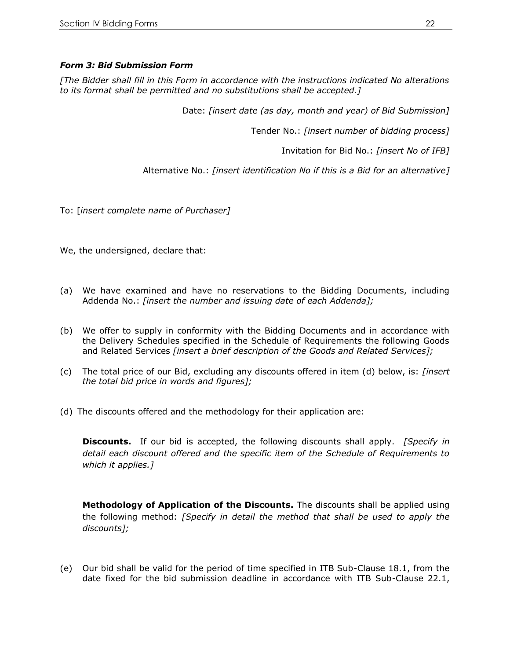## *Form 3: Bid Submission Form*

*[The Bidder shall fill in this Form in accordance with the instructions indicated No alterations to its format shall be permitted and no substitutions shall be accepted.]*

Date: *[insert date (as day, month and year) of Bid Submission]*

Tender No.: *[insert number of bidding process]*

Invitation for Bid No.: *[insert No of IFB]*

Alternative No.: *[insert identification No if this is a Bid for an alternative]*

To: [*insert complete name of Purchaser]*

We, the undersigned, declare that:

- (a) We have examined and have no reservations to the Bidding Documents, including Addenda No.: *[insert the number and issuing date of each Addenda];*
- (b) We offer to supply in conformity with the Bidding Documents and in accordance with the Delivery Schedules specified in the Schedule of Requirements the following Goods and Related Services *[insert a brief description of the Goods and Related Services];*
- (c) The total price of our Bid, excluding any discounts offered in item (d) below, is: *[insert the total bid price in words and figures];*
- (d) The discounts offered and the methodology for their application are:

**Discounts.** If our bid is accepted, the following discounts shall apply.*[Specify in detail each discount offered and the specific item of the Schedule of Requirements to which it applies.]* 

**Methodology of Application of the Discounts.** The discounts shall be applied using the following method: *[Specify in detail the method that shall be used to apply the discounts];*

(e) Our bid shall be valid for the period of time specified in ITB Sub-Clause 18.1, from the date fixed for the bid submission deadline in accordance with ITB Sub-Clause 22.1,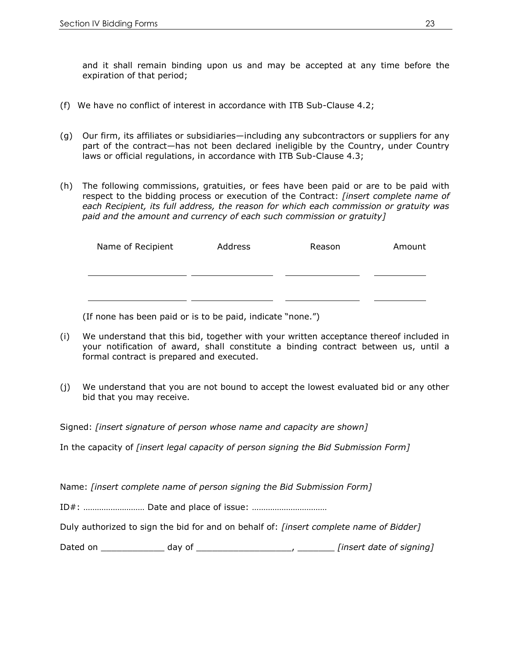and it shall remain binding upon us and may be accepted at any time before the expiration of that period;

- (f) We have no conflict of interest in accordance with ITB Sub-Clause 4.2;
- (g) Our firm, its affiliates or subsidiaries—including any subcontractors or suppliers for any part of the contract—has not been declared ineligible by the Country, under Country laws or official regulations, in accordance with ITB Sub-Clause 4.3;
- (h) The following commissions, gratuities, or fees have been paid or are to be paid with respect to the bidding process or execution of the Contract: *[insert complete name of each Recipient, its full address, the reason for which each commission or gratuity was paid and the amount and currency of each such commission or gratuity]*

| Name of Recipient | Address | Reason | Amount |
|-------------------|---------|--------|--------|
|                   |         |        |        |
|                   |         |        |        |
|                   |         |        |        |

(If none has been paid or is to be paid, indicate "none.")

- (i) We understand that this bid, together with your written acceptance thereof included in your notification of award, shall constitute a binding contract between us, until a formal contract is prepared and executed.
- (j) We understand that you are not bound to accept the lowest evaluated bid or any other bid that you may receive.

Signed: *[insert signature of person whose name and capacity are shown]*

In the capacity of *[insert legal capacity of person signing the Bid Submission Form]*

Name: *[insert complete name of person signing the Bid Submission Form]*

ID#: ……………………… Date and place of issue: ……………………………

Duly authorized to sign the bid for and on behalf of: *[insert complete name of Bidder]*

| Dated on<br>dav of | [insert date of signing] |
|--------------------|--------------------------|
|--------------------|--------------------------|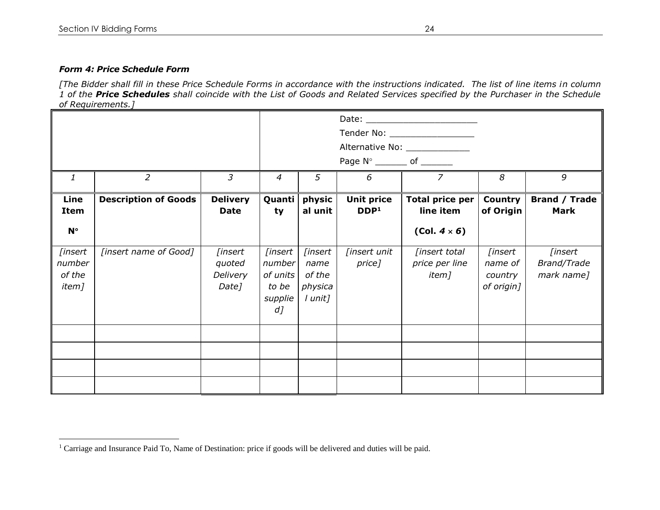$\overline{\phantom{a}}$ 

#### *Form 4: Price Schedule Form*

*[The Bidder shall fill in these Price Schedule Forms in accordance with the instructions indicated. The list of line items in column 1 of the Price Schedules shall coincide with the List of Goods and Related Services specified by the Purchaser in the Schedule of Requirements.]*

|                                      |                             |                                        |                                                            |                                                 | Page N° ________ of _______           | Alternative No: _______________                     |                                             |                                                     |
|--------------------------------------|-----------------------------|----------------------------------------|------------------------------------------------------------|-------------------------------------------------|---------------------------------------|-----------------------------------------------------|---------------------------------------------|-----------------------------------------------------|
| $\mathbf{1}$                         | 2                           | $\mathfrak{Z}$                         | $\overline{4}$                                             | 5                                               | 6                                     | $\overline{z}$                                      | 8                                           | 9                                                   |
| Line<br><b>Item</b><br>$N^{\circ}$   | <b>Description of Goods</b> | <b>Delivery</b><br><b>Date</b>         | Quanti<br>ty                                               | physic<br>al unit                               | <b>Unit price</b><br>DDP <sup>1</sup> | Total price per<br>line item<br>$(Col. 4 \times 6)$ | Country<br>of Origin                        | <b>Brand / Trade</b><br><b>Mark</b>                 |
| [insert<br>number<br>of the<br>item] | [insert name of Good]       | [insert<br>quoted<br>Delivery<br>Date] | [insert<br>number<br>of units<br>to be<br>supplie<br>$d$ ] | [insert<br>name<br>of the<br>physica<br>l unit] | [insert unit<br>price]                | [insert total<br>price per line<br>item]            | [insert<br>name of<br>country<br>of origin] | <i><b>[insert]</b></i><br>Brand/Trade<br>mark name] |
|                                      |                             |                                        |                                                            |                                                 |                                       |                                                     |                                             |                                                     |
|                                      |                             |                                        |                                                            |                                                 |                                       |                                                     |                                             |                                                     |
|                                      |                             |                                        |                                                            |                                                 |                                       |                                                     |                                             |                                                     |
|                                      |                             |                                        |                                                            |                                                 |                                       |                                                     |                                             |                                                     |

<sup>&</sup>lt;sup>1</sup> Carriage and Insurance Paid To, Name of Destination: price if goods will be delivered and duties will be paid.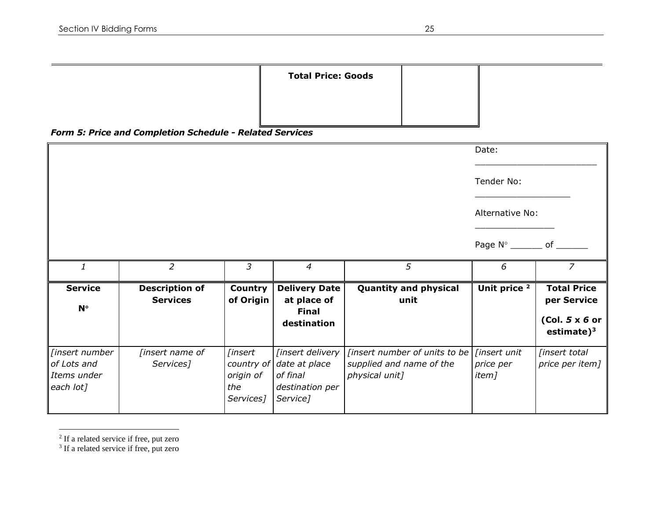# *Form 5: Price and Completion Schedule - Related Services*

|                |                                          |                             |                                                                    |                                      | Date:                           |                                                                        |
|----------------|------------------------------------------|-----------------------------|--------------------------------------------------------------------|--------------------------------------|---------------------------------|------------------------------------------------------------------------|
|                |                                          |                             |                                                                    |                                      | Tender No:                      |                                                                        |
|                |                                          |                             |                                                                    |                                      | Alternative No:                 |                                                                        |
|                |                                          |                             |                                                                    |                                      | Page $N^\circ$ _________ of ___ |                                                                        |
| $\mathbf{1}$   | 2                                        | $\overline{3}$              | $\overline{4}$                                                     | 5                                    | 6                               | $\overline{7}$                                                         |
| <b>Service</b> |                                          |                             |                                                                    |                                      |                                 |                                                                        |
| $N^{\circ}$    | <b>Description of</b><br><b>Services</b> | <b>Country</b><br>of Origin | <b>Delivery Date</b><br>at place of<br><b>Final</b><br>destination | <b>Quantity and physical</b><br>unit | Unit price <sup>2</sup>         | <b>Total Price</b><br>per Service<br>$(Col. 5x 6$ or<br>estimate $)^3$ |

<sup>2</sup> If a related service if free, put zero<br><sup>3</sup> If a related service if free, put zero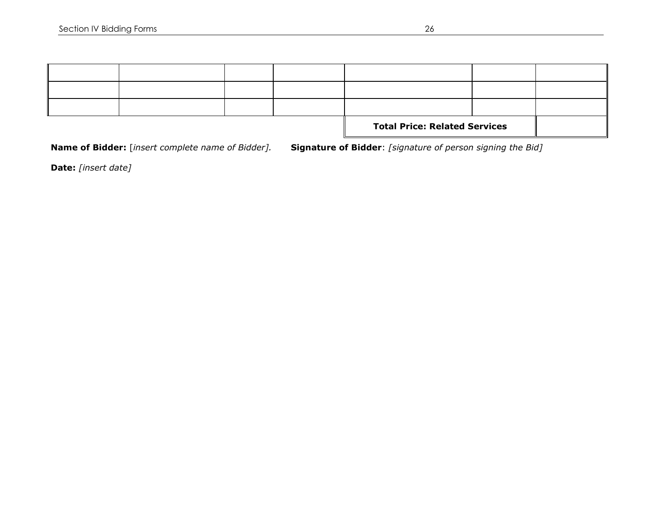|  |  | <b>Total Price: Related Services</b> |  |
|--|--|--------------------------------------|--|
|  |  |                                      |  |
|  |  |                                      |  |
|  |  |                                      |  |

**Name of Bidder:** [*insert complete name of Bidder].* **Signature of Bidder**: *[signature of person signing the Bid]* 

**Date:** *[insert date]*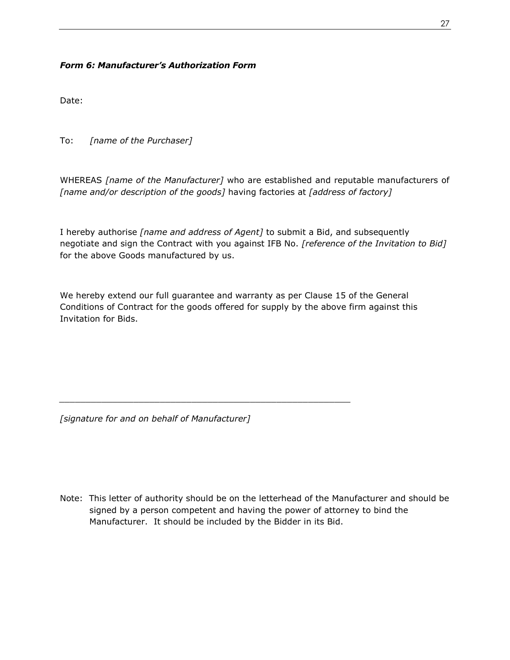# *Form 6: Manufacturer's Authorization Form*

Date:

To: *[name of the Purchaser]*

WHEREAS *[name of the Manufacturer]* who are established and reputable manufacturers of *[name and/or description of the goods]* having factories at *[address of factory]*

I hereby authorise *[name and address of Agent]* to submit a Bid, and subsequently negotiate and sign the Contract with you against IFB No. *[reference of the Invitation to Bid]*  for the above Goods manufactured by us.

We hereby extend our full guarantee and warranty as per Clause 15 of the General Conditions of Contract for the goods offered for supply by the above firm against this Invitation for Bids.

*\_\_\_\_\_\_\_\_\_\_\_\_\_\_\_\_\_\_\_\_\_\_\_\_\_\_\_\_\_\_\_\_\_\_\_\_\_\_\_\_\_\_\_\_\_\_\_\_\_\_\_\_\_\_\_*

*[signature for and on behalf of Manufacturer]*

Note: This letter of authority should be on the letterhead of the Manufacturer and should be signed by a person competent and having the power of attorney to bind the Manufacturer. It should be included by the Bidder in its Bid.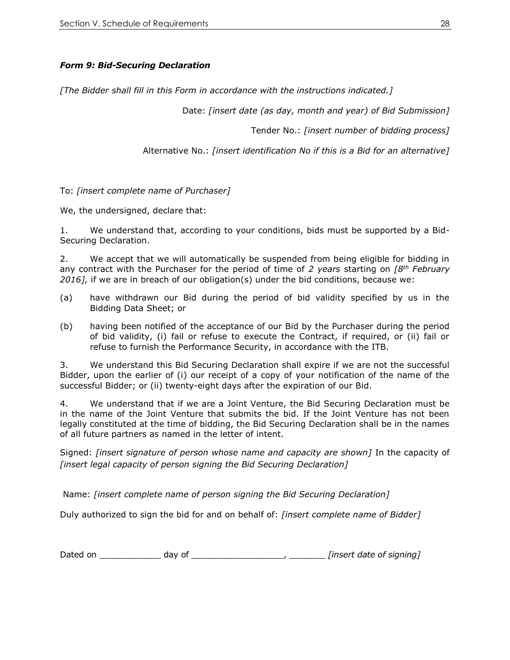# *Form 9: Bid-Securing Declaration*

*[The Bidder shall fill in this Form in accordance with the instructions indicated.]*

Date: *[insert date (as day, month and year) of Bid Submission]*

Tender No.: *[insert number of bidding process]*

Alternative No.: *[insert identification No if this is a Bid for an alternative]*

To: *[insert complete name of Purchaser]*

We, the undersigned, declare that:

1. We understand that, according to your conditions, bids must be supported by a Bid-Securing Declaration.

2. We accept that we will automatically be suspended from being eligible for bidding in any contract with the Purchaser for the period of time of *2 years* starting on *[8th February 2016],* if we are in breach of our obligation(s) under the bid conditions, because we:

- (a) have withdrawn our Bid during the period of bid validity specified by us in the Bidding Data Sheet; or
- (b) having been notified of the acceptance of our Bid by the Purchaser during the period of bid validity, (i) fail or refuse to execute the Contract, if required, or (ii) fail or refuse to furnish the Performance Security, in accordance with the ITB.

3. We understand this Bid Securing Declaration shall expire if we are not the successful Bidder, upon the earlier of (i) our receipt of a copy of your notification of the name of the successful Bidder; or (ii) twenty-eight days after the expiration of our Bid.

4. We understand that if we are a Joint Venture, the Bid Securing Declaration must be in the name of the Joint Venture that submits the bid. If the Joint Venture has not been legally constituted at the time of bidding, the Bid Securing Declaration shall be in the names of all future partners as named in the letter of intent.

Signed: *[insert signature of person whose name and capacity are shown]* In the capacity of *[insert legal capacity of person signing the Bid Securing Declaration]*

Name: *[insert complete name of person signing the Bid Securing Declaration]*

Duly authorized to sign the bid for and on behalf of: *[insert complete name of Bidder]*

Dated on \_\_\_\_\_\_\_\_\_\_\_\_ day of \_\_\_\_\_\_\_\_\_\_\_\_\_\_\_\_\_\_, \_\_\_\_\_\_\_ *[insert date of signing]*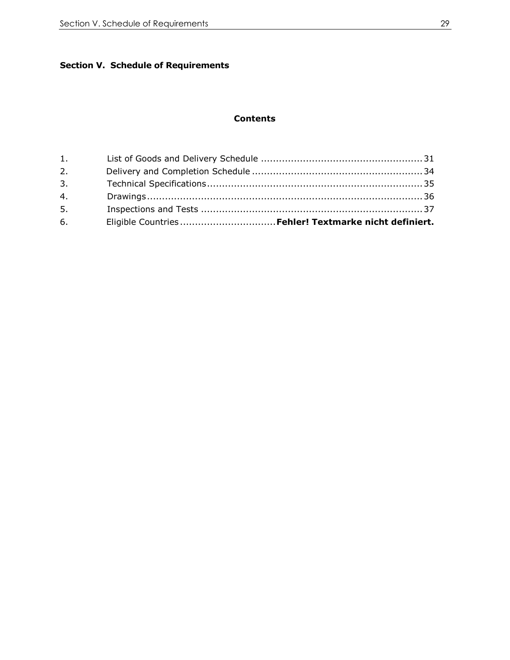# **Section V. Schedule of Requirements**

## **Contents**

<span id="page-28-5"></span><span id="page-28-4"></span><span id="page-28-3"></span><span id="page-28-2"></span><span id="page-28-1"></span><span id="page-28-0"></span>

| 1. |                                                        |
|----|--------------------------------------------------------|
| 2. |                                                        |
| 3. |                                                        |
| 4. |                                                        |
| 5. |                                                        |
| 6. | Eligible Countries  Fehler! Textmarke nicht definiert. |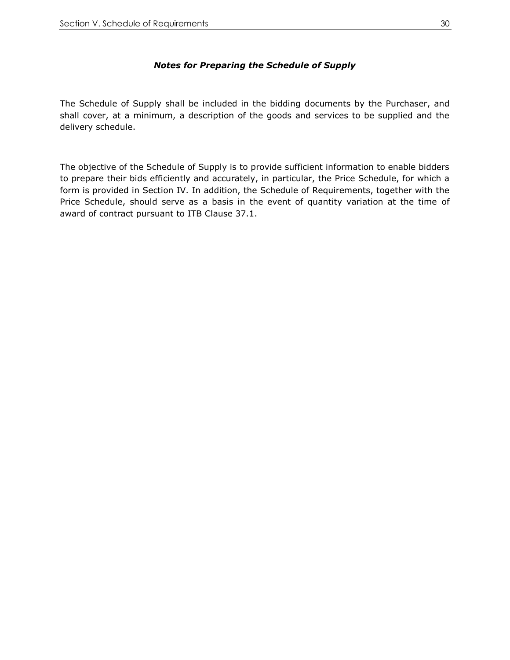# *Notes for Preparing the Schedule of Supply*

<span id="page-29-0"></span>The Schedule of Supply shall be included in the bidding documents by the Purchaser, and shall cover, at a minimum, a description of the goods and services to be supplied and the delivery schedule.

The objective of the Schedule of Supply is to provide sufficient information to enable bidders to prepare their bids efficiently and accurately, in particular, the Price Schedule, for which a form is provided in Section IV. In addition, the Schedule of Requirements, together with the Price Schedule, should serve as a basis in the event of quantity variation at the time of award of contract pursuant to ITB Clause 37.1.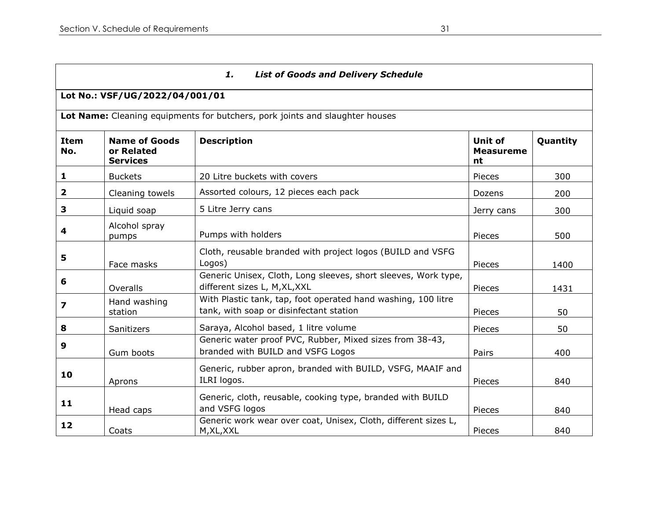# *1. List of Goods and Delivery Schedule*

# **Lot No.: VSF/UG/2022/04/001/01**

**Lot Name:** Cleaning equipments for butchers, pork joints and slaughter houses

| <b>Item</b><br>No. | <b>Name of Goods</b><br>or Related<br><b>Services</b> | <b>Description</b>                                                                                       | Unit of<br><b>Measureme</b><br>nt | Quantity |
|--------------------|-------------------------------------------------------|----------------------------------------------------------------------------------------------------------|-----------------------------------|----------|
| 1                  | <b>Buckets</b>                                        | 20 Litre buckets with covers                                                                             | <b>Pieces</b>                     | 300      |
| 2                  | Cleaning towels                                       | Assorted colours, 12 pieces each pack                                                                    | Dozens                            | 200      |
| 3                  | Liquid soap                                           | 5 Litre Jerry cans                                                                                       | Jerry cans                        | 300      |
| 4                  | Alcohol spray<br>pumps                                | Pumps with holders                                                                                       | Pieces                            | 500      |
| 5                  | Face masks                                            | Cloth, reusable branded with project logos (BUILD and VSFG<br>Logos)                                     | <b>Pieces</b>                     | 1400     |
| 6                  | Overalls                                              | Generic Unisex, Cloth, Long sleeves, short sleeves, Work type,<br>different sizes L, M, XL, XXL          | Pieces                            | 1431     |
| 7                  | Hand washing<br>station                               | With Plastic tank, tap, foot operated hand washing, 100 litre<br>tank, with soap or disinfectant station | <b>Pieces</b>                     | 50       |
| 8                  | Sanitizers                                            | Saraya, Alcohol based, 1 litre volume                                                                    | Pieces                            | 50       |
| 9                  | Gum boots                                             | Generic water proof PVC, Rubber, Mixed sizes from 38-43,<br>branded with BUILD and VSFG Logos            | Pairs                             | 400      |
| 10                 | Aprons                                                | Generic, rubber apron, branded with BUILD, VSFG, MAAIF and<br>ILRI logos.                                | Pieces                            | 840      |
| 11                 | Head caps                                             | Generic, cloth, reusable, cooking type, branded with BUILD<br>and VSFG logos                             | Pieces                            | 840      |
| 12                 | Coats                                                 | Generic work wear over coat, Unisex, Cloth, different sizes L,<br>M, XL, XXL                             | <b>Pieces</b>                     | 840      |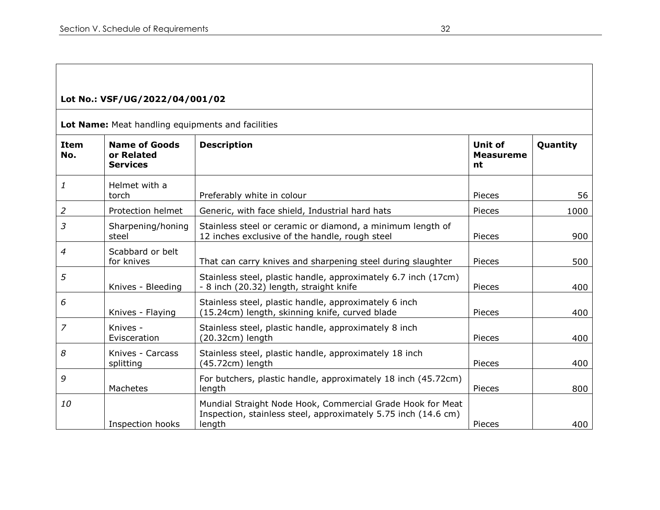# **Lot No.: VSF/UG/2022/04/001/02**

**Lot Name:** Meat handling equipments and facilities

| <b>Item</b><br>No. | <b>Name of Goods</b><br>or Related<br><b>Services</b> | <b>Description</b>                                                                                                                     | <b>Unit of</b><br><b>Measureme</b><br>nt | Quantity |
|--------------------|-------------------------------------------------------|----------------------------------------------------------------------------------------------------------------------------------------|------------------------------------------|----------|
| 1                  | Helmet with a<br>torch                                | Preferably white in colour                                                                                                             | Pieces                                   | 56       |
| $\overline{2}$     | Protection helmet                                     | Generic, with face shield, Industrial hard hats                                                                                        | Pieces                                   | 1000     |
| 3                  | Sharpening/honing<br>steel                            | Stainless steel or ceramic or diamond, a minimum length of<br>12 inches exclusive of the handle, rough steel                           | Pieces                                   | 900      |
| 4                  | Scabbard or belt<br>for knives                        | That can carry knives and sharpening steel during slaughter                                                                            | Pieces                                   | 500      |
| 5                  | Knives - Bleeding                                     | Stainless steel, plastic handle, approximately 6.7 inch (17cm)<br>- 8 inch (20.32) length, straight knife                              | Pieces                                   | 400      |
| 6                  | Knives - Flaying                                      | Stainless steel, plastic handle, approximately 6 inch<br>(15.24cm) length, skinning knife, curved blade                                | Pieces                                   | 400      |
| 7                  | Knives -<br>Evisceration                              | Stainless steel, plastic handle, approximately 8 inch<br>$(20.32cm)$ length                                                            | Pieces                                   | 400      |
| 8                  | Knives - Carcass<br>splitting                         | Stainless steel, plastic handle, approximately 18 inch<br>(45.72cm) length                                                             | Pieces                                   | 400      |
| 9                  | Machetes                                              | For butchers, plastic handle, approximately 18 inch (45.72cm)<br>length                                                                | Pieces                                   | 800      |
| 10                 | Inspection hooks                                      | Mundial Straight Node Hook, Commercial Grade Hook for Meat<br>Inspection, stainless steel, approximately 5.75 inch (14.6 cm)<br>length | Pieces                                   | 400      |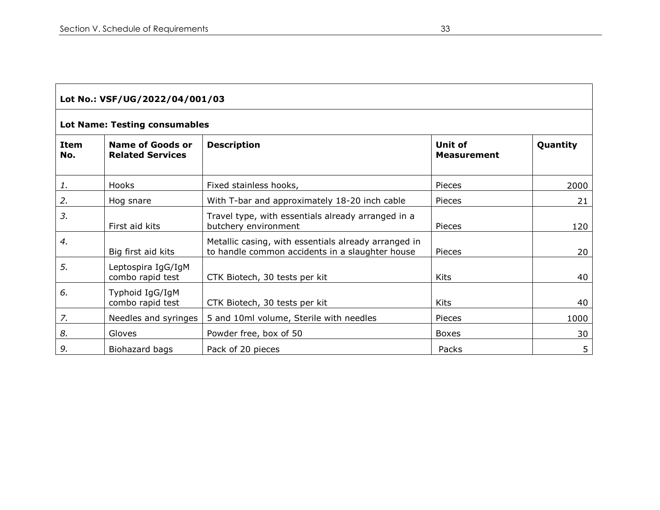|                    | Lot No.: VSF/UG/2022/04/001/03                     |                                                                                                         |                                      |          |  |
|--------------------|----------------------------------------------------|---------------------------------------------------------------------------------------------------------|--------------------------------------|----------|--|
|                    | <b>Lot Name: Testing consumables</b>               |                                                                                                         |                                      |          |  |
| <b>Item</b><br>No. | <b>Name of Goods or</b><br><b>Related Services</b> | <b>Description</b>                                                                                      | <b>Unit of</b><br><b>Measurement</b> | Quantity |  |
| 1.                 | Hooks                                              | Fixed stainless hooks,                                                                                  | Pieces                               | 2000     |  |
| 2.                 | Hog snare                                          | With T-bar and approximately 18-20 inch cable                                                           | Pieces                               | 21       |  |
| 3.                 | First aid kits                                     | Travel type, with essentials already arranged in a<br>butchery environment                              | Pieces                               | 120      |  |
| 4.                 | Big first aid kits                                 | Metallic casing, with essentials already arranged in<br>to handle common accidents in a slaughter house | Pieces                               | 20       |  |
| 5.                 | Leptospira IgG/IgM<br>combo rapid test             | CTK Biotech, 30 tests per kit                                                                           | <b>Kits</b>                          | 40       |  |
| 6.                 | Typhoid IgG/IgM<br>combo rapid test                | CTK Biotech, 30 tests per kit                                                                           | <b>Kits</b>                          | 40       |  |
| 7.                 | Needles and syringes                               | 5 and 10ml volume, Sterile with needles                                                                 | Pieces                               | 1000     |  |
| 8.                 | Gloves                                             | Powder free, box of 50                                                                                  | <b>Boxes</b>                         | 30       |  |
| 9.                 | Biohazard bags                                     | Pack of 20 pieces                                                                                       | Packs                                | 5        |  |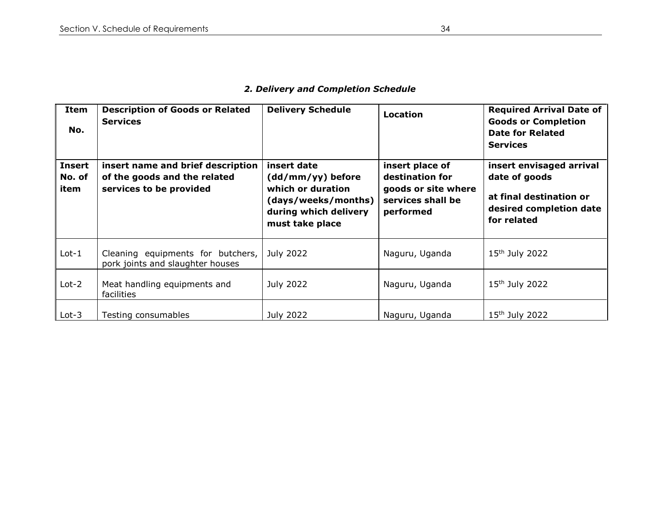| Item<br>No.                     | <b>Description of Goods or Related</b><br><b>Services</b>                                    | <b>Delivery Schedule</b>                                                                                                 | <b>Location</b>                                                                             | <b>Required Arrival Date of</b><br><b>Goods or Completion</b><br><b>Date for Related</b><br><b>Services</b>    |
|---------------------------------|----------------------------------------------------------------------------------------------|--------------------------------------------------------------------------------------------------------------------------|---------------------------------------------------------------------------------------------|----------------------------------------------------------------------------------------------------------------|
| <b>Insert</b><br>No. of<br>item | insert name and brief description<br>of the goods and the related<br>services to be provided | insert date<br>(dd/mm/yy) before<br>which or duration<br>(days/weeks/months)<br>during which delivery<br>must take place | insert place of<br>destination for<br>goods or site where<br>services shall be<br>performed | insert envisaged arrival<br>date of goods<br>at final destination or<br>desired completion date<br>for related |
| $Lot-1$                         | Cleaning equipments for butchers,<br>pork joints and slaughter houses                        | July 2022                                                                                                                | Naguru, Uganda                                                                              | $15th$ July 2022                                                                                               |
| $Lot-2$                         | Meat handling equipments and<br><b>facilities</b>                                            | July 2022                                                                                                                | Naguru, Uganda                                                                              | $15th$ July 2022                                                                                               |
| $Lot-3$                         | Testing consumables                                                                          | July 2022                                                                                                                | Naguru, Uganda                                                                              | 15 <sup>th</sup> July 2022                                                                                     |

# *2. Delivery and Completion Schedule*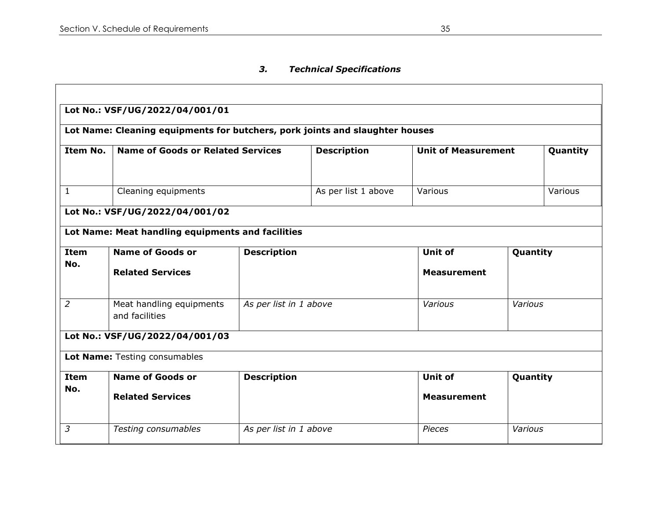# *3. Technical Specifications*

|                | Lot Name: Cleaning equipments for butchers, pork joints and slaughter houses |                        |                     |                            |          |          |
|----------------|------------------------------------------------------------------------------|------------------------|---------------------|----------------------------|----------|----------|
| Item No.       | <b>Name of Goods or Related Services</b>                                     |                        | <b>Description</b>  | <b>Unit of Measurement</b> |          | Quantity |
| $\mathbf{1}$   | Cleaning equipments                                                          |                        | As per list 1 above | Various                    |          | Various  |
|                | Lot No.: VSF/UG/2022/04/001/02                                               |                        |                     |                            |          |          |
|                | Lot Name: Meat handling equipments and facilities                            |                        |                     |                            |          |          |
| <b>Item</b>    | <b>Name of Goods or</b>                                                      | <b>Description</b>     |                     | <b>Unit of</b>             | Quantity |          |
| No.            | <b>Related Services</b>                                                      |                        |                     | <b>Measurement</b>         |          |          |
| $\overline{2}$ | Meat handling equipments<br>and facilities                                   | As per list in 1 above |                     | Various                    | Various  |          |
|                | Lot No.: VSF/UG/2022/04/001/03                                               |                        |                     |                            |          |          |
|                | Lot Name: Testing consumables                                                |                        |                     |                            |          |          |
| <b>Item</b>    | <b>Name of Goods or</b>                                                      | <b>Description</b>     |                     | <b>Unit of</b>             | Quantity |          |
| No.            | <b>Related Services</b>                                                      |                        |                     | <b>Measurement</b>         |          |          |
| 3              | Testing consumables                                                          | As per list in 1 above |                     | <b>Pieces</b>              | Various  |          |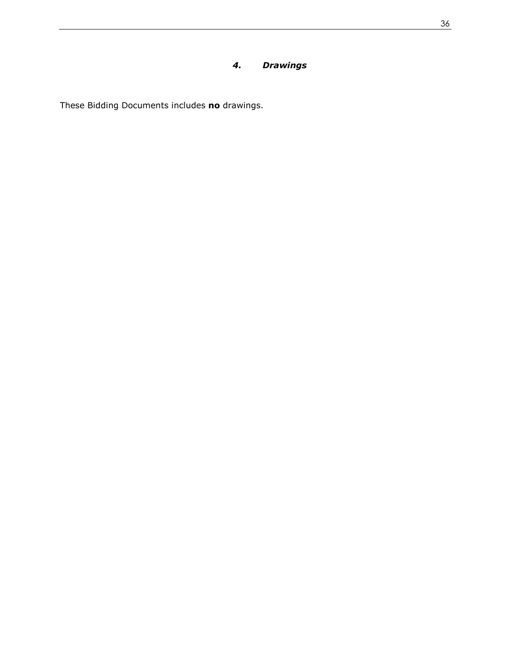# *4. Drawings*

These Bidding Documents includes **no** drawings.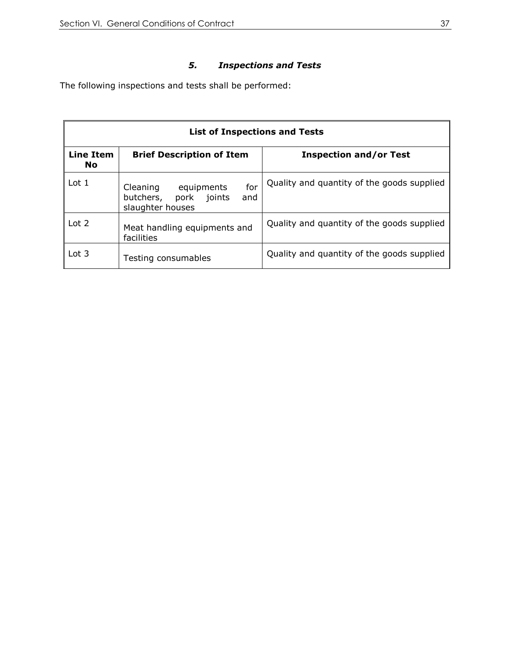# *5. Inspections and Tests*

The following inspections and tests shall be performed:

<span id="page-36-0"></span>

|                               | <b>List of Inspections and Tests</b>                                                    |                                            |  |  |
|-------------------------------|-----------------------------------------------------------------------------------------|--------------------------------------------|--|--|
| <b>Line Item</b><br><b>No</b> | <b>Brief Description of Item</b>                                                        | <b>Inspection and/or Test</b>              |  |  |
| Lot 1                         | for<br>Cleaning<br>equipments<br>butchers,<br>joints<br>pork<br>and<br>slaughter houses | Quality and quantity of the goods supplied |  |  |
| Lot 2                         | Meat handling equipments and<br>facilities                                              | Quality and quantity of the goods supplied |  |  |
| Lot $3$                       | Testing consumables                                                                     | Quality and quantity of the goods supplied |  |  |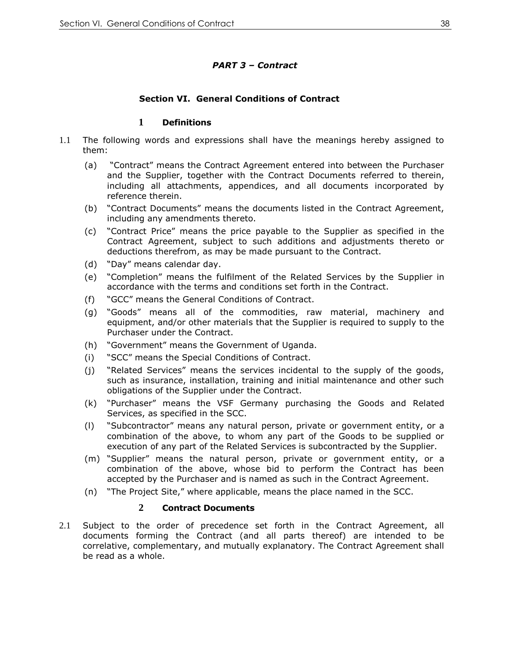# *PART 3 – Contract*

# **Section VI. General Conditions of Contract**

## **1 Definitions**

- 1.1 The following words and expressions shall have the meanings hereby assigned to them:
	- (a) "Contract" means the Contract Agreement entered into between the Purchaser and the Supplier, together with the Contract Documents referred to therein, including all attachments, appendices, and all documents incorporated by reference therein.
	- (b) "Contract Documents" means the documents listed in the Contract Agreement, including any amendments thereto.
	- (c) "Contract Price" means the price payable to the Supplier as specified in the Contract Agreement, subject to such additions and adjustments thereto or deductions therefrom, as may be made pursuant to the Contract.
	- (d) "Day" means calendar day.
	- (e) "Completion" means the fulfilment of the Related Services by the Supplier in accordance with the terms and conditions set forth in the Contract.
	- (f) "GCC" means the General Conditions of Contract.
	- (g) "Goods" means all of the commodities, raw material, machinery and equipment, and/or other materials that the Supplier is required to supply to the Purchaser under the Contract.
	- (h) "Government" means the Government of Uganda.
	- (i) "SCC" means the Special Conditions of Contract.
	- (j) "Related Services" means the services incidental to the supply of the goods, such as insurance, installation, training and initial maintenance and other such obligations of the Supplier under the Contract.
	- (k) "Purchaser" means the VSF Germany purchasing the Goods and Related Services, as specified in the SCC.
	- (l) "Subcontractor" means any natural person, private or government entity, or a combination of the above, to whom any part of the Goods to be supplied or execution of any part of the Related Services is subcontracted by the Supplier.
	- (m) "Supplier" means the natural person, private or government entity, or a combination of the above, whose bid to perform the Contract has been accepted by the Purchaser and is named as such in the Contract Agreement.
	- (n) "The Project Site," where applicable, means the place named in the SCC.

#### **2 Contract Documents**

2.1 Subject to the order of precedence set forth in the Contract Agreement, all documents forming the Contract (and all parts thereof) are intended to be correlative, complementary, and mutually explanatory. The Contract Agreement shall be read as a whole.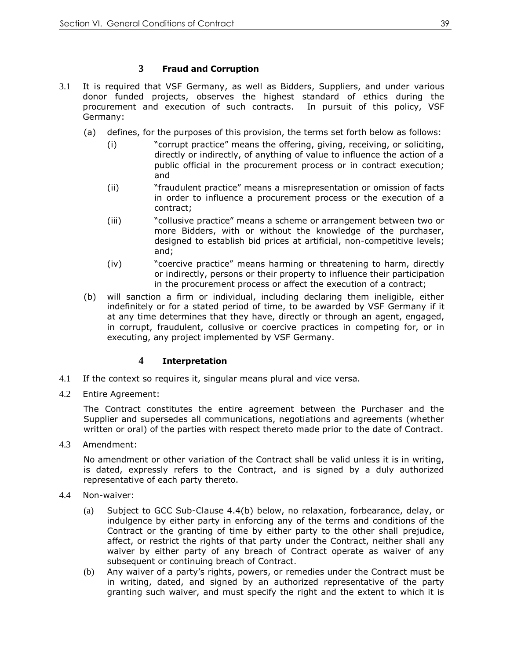# **3 Fraud and Corruption**

- 3.1 It is required that VSF Germany, as well as Bidders, Suppliers, and under various donor funded projects, observes the highest standard of ethics during the procurement and execution of such contracts. In pursuit of this policy, VSF Germany:
	- (a) defines, for the purposes of this provision, the terms set forth below as follows:
		- (i) "corrupt practice" means the offering, giving, receiving, or soliciting, directly or indirectly, of anything of value to influence the action of a public official in the procurement process or in contract execution; and
		- (ii) "fraudulent practice" means a misrepresentation or omission of facts in order to influence a procurement process or the execution of a contract;
		- (iii) "collusive practice" means a scheme or arrangement between two or more Bidders, with or without the knowledge of the purchaser, designed to establish bid prices at artificial, non-competitive levels; and;
		- (iv) "coercive practice" means harming or threatening to harm, directly or indirectly, persons or their property to influence their participation in the procurement process or affect the execution of a contract;
	- (b) will sanction a firm or individual, including declaring them ineligible, either indefinitely or for a stated period of time, to be awarded by VSF Germany if it at any time determines that they have, directly or through an agent, engaged, in corrupt, fraudulent, collusive or coercive practices in competing for, or in executing, any project implemented by VSF Germany.

# **4 Interpretation**

- 4.1 If the context so requires it, singular means plural and vice versa.
- 4.2 Entire Agreement:

The Contract constitutes the entire agreement between the Purchaser and the Supplier and supersedes all communications, negotiations and agreements (whether written or oral) of the parties with respect thereto made prior to the date of Contract.

4.3 Amendment:

No amendment or other variation of the Contract shall be valid unless it is in writing, is dated, expressly refers to the Contract, and is signed by a duly authorized representative of each party thereto.

- 4.4 Non-waiver:
	- (a) Subject to GCC Sub-Clause 4.4(b) below, no relaxation, forbearance, delay, or indulgence by either party in enforcing any of the terms and conditions of the Contract or the granting of time by either party to the other shall prejudice, affect, or restrict the rights of that party under the Contract, neither shall any waiver by either party of any breach of Contract operate as waiver of any subsequent or continuing breach of Contract.
	- (b) Any waiver of a party's rights, powers, or remedies under the Contract must be in writing, dated, and signed by an authorized representative of the party granting such waiver, and must specify the right and the extent to which it is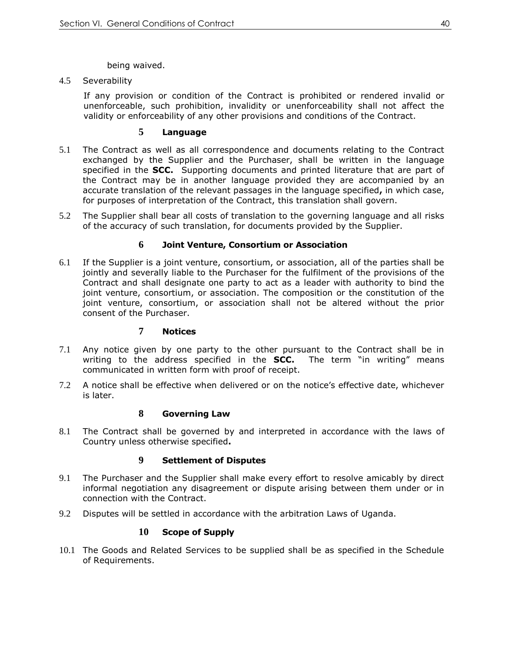being waived.

4.5 Severability

If any provision or condition of the Contract is prohibited or rendered invalid or unenforceable, such prohibition, invalidity or unenforceability shall not affect the validity or enforceability of any other provisions and conditions of the Contract.

## **5 Language**

- 5.1 The Contract as well as all correspondence and documents relating to the Contract exchanged by the Supplier and the Purchaser, shall be written in the language specified in the **SCC.** Supporting documents and printed literature that are part of the Contract may be in another language provided they are accompanied by an accurate translation of the relevant passages in the language specified**,** in which case, for purposes of interpretation of the Contract, this translation shall govern.
- 5.2 The Supplier shall bear all costs of translation to the governing language and all risks of the accuracy of such translation, for documents provided by the Supplier.

#### **6 Joint Venture, Consortium or Association**

6.1 If the Supplier is a joint venture, consortium, or association, all of the parties shall be jointly and severally liable to the Purchaser for the fulfilment of the provisions of the Contract and shall designate one party to act as a leader with authority to bind the joint venture, consortium, or association. The composition or the constitution of the joint venture, consortium, or association shall not be altered without the prior consent of the Purchaser.

#### **7 Notices**

- 7.1 Any notice given by one party to the other pursuant to the Contract shall be in writing to the address specified in the **SCC.** The term "in writing" means communicated in written form with proof of receipt.
- 7.2 A notice shall be effective when delivered or on the notice's effective date, whichever is later.

#### **8 Governing Law**

8.1 The Contract shall be governed by and interpreted in accordance with the laws of Country unless otherwise specified**.**

#### **9 Settlement of Disputes**

- 9.1 The Purchaser and the Supplier shall make every effort to resolve amicably by direct informal negotiation any disagreement or dispute arising between them under or in connection with the Contract.
- 9.2 Disputes will be settled in accordance with the arbitration Laws of Uganda.

# **10 Scope of Supply**

10.1 The Goods and Related Services to be supplied shall be as specified in the Schedule of Requirements.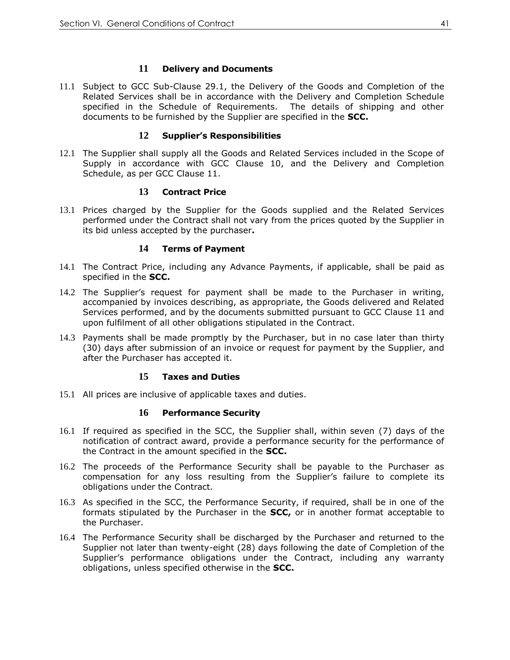## **11 Delivery and Documents**

11.1 Subject to GCC Sub-Clause 29.1, the Delivery of the Goods and Completion of the Related Services shall be in accordance with the Delivery and Completion Schedule specified in the Schedule of Requirements. The details of shipping and other documents to be furnished by the Supplier are specified in the **SCC.**

#### **12 Supplier's Responsibilities**

12.1 The Supplier shall supply all the Goods and Related Services included in the Scope of Supply in accordance with GCC Clause 10, and the Delivery and Completion Schedule, as per GCC Clause 11.

#### **13 Contract Price**

13.1 Prices charged by the Supplier for the Goods supplied and the Related Services performed under the Contract shall not vary from the prices quoted by the Supplier in its bid unless accepted by the purchaser**.**

#### **14 Terms of Payment**

- 14.1 The Contract Price, including any Advance Payments, if applicable, shall be paid as specified in the **SCC.**
- 14.2 The Supplier's request for payment shall be made to the Purchaser in writing, accompanied by invoices describing, as appropriate, the Goods delivered and Related Services performed, and by the documents submitted pursuant to GCC Clause 11 and upon fulfilment of all other obligations stipulated in the Contract.
- 14.3 Payments shall be made promptly by the Purchaser, but in no case later than thirty (30) days after submission of an invoice or request for payment by the Supplier, and after the Purchaser has accepted it.

# **15 Taxes and Duties**

15.1 All prices are inclusive of applicable taxes and duties.

#### **16 Performance Security**

- 16.1 If required as specified in the SCC, the Supplier shall, within seven (7) days of the notification of contract award, provide a performance security for the performance of the Contract in the amount specified in the **SCC.**
- 16.2 The proceeds of the Performance Security shall be payable to the Purchaser as compensation for any loss resulting from the Supplier's failure to complete its obligations under the Contract.
- 16.3 As specified in the SCC, the Performance Security, if required, shall be in one of the formats stipulated by the Purchaser in the **SCC,** or in another format acceptable to the Purchaser.
- 16.4 The Performance Security shall be discharged by the Purchaser and returned to the Supplier not later than twenty-eight (28) days following the date of Completion of the Supplier's performance obligations under the Contract, including any warranty obligations, unless specified otherwise in the **SCC.**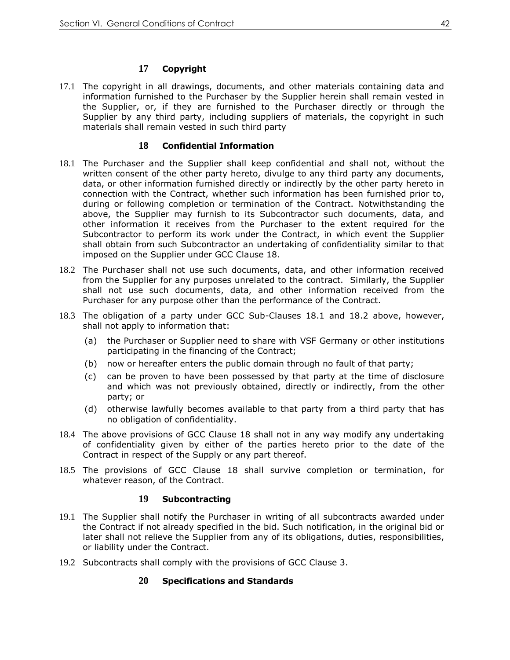# **17 Copyright**

17.1 The copyright in all drawings, documents, and other materials containing data and information furnished to the Purchaser by the Supplier herein shall remain vested in the Supplier, or, if they are furnished to the Purchaser directly or through the Supplier by any third party, including suppliers of materials, the copyright in such materials shall remain vested in such third party

#### **18 Confidential Information**

- 18.1 The Purchaser and the Supplier shall keep confidential and shall not, without the written consent of the other party hereto, divulge to any third party any documents, data, or other information furnished directly or indirectly by the other party hereto in connection with the Contract, whether such information has been furnished prior to, during or following completion or termination of the Contract. Notwithstanding the above, the Supplier may furnish to its Subcontractor such documents, data, and other information it receives from the Purchaser to the extent required for the Subcontractor to perform its work under the Contract, in which event the Supplier shall obtain from such Subcontractor an undertaking of confidentiality similar to that imposed on the Supplier under GCC Clause 18.
- 18.2 The Purchaser shall not use such documents, data, and other information received from the Supplier for any purposes unrelated to the contract. Similarly, the Supplier shall not use such documents, data, and other information received from the Purchaser for any purpose other than the performance of the Contract.
- 18.3 The obligation of a party under GCC Sub-Clauses 18.1 and 18.2 above, however, shall not apply to information that:
	- (a) the Purchaser or Supplier need to share with VSF Germany or other institutions participating in the financing of the Contract;
	- (b) now or hereafter enters the public domain through no fault of that party;
	- (c) can be proven to have been possessed by that party at the time of disclosure and which was not previously obtained, directly or indirectly, from the other party; or
	- (d) otherwise lawfully becomes available to that party from a third party that has no obligation of confidentiality.
- 18.4 The above provisions of GCC Clause 18 shall not in any way modify any undertaking of confidentiality given by either of the parties hereto prior to the date of the Contract in respect of the Supply or any part thereof.
- 18.5 The provisions of GCC Clause 18 shall survive completion or termination, for whatever reason, of the Contract.

#### **19 Subcontracting**

- 19.1 The Supplier shall notify the Purchaser in writing of all subcontracts awarded under the Contract if not already specified in the bid. Such notification, in the original bid or later shall not relieve the Supplier from any of its obligations, duties, responsibilities, or liability under the Contract.
- 19.2 Subcontracts shall comply with the provisions of GCC Clause 3.

#### **20 Specifications and Standards**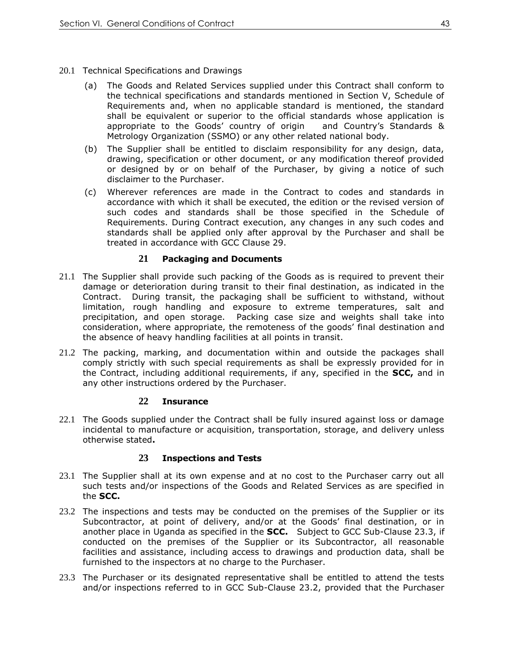- 20.1 Technical Specifications and Drawings
	- (a) The Goods and Related Services supplied under this Contract shall conform to the technical specifications and standards mentioned in Section V, Schedule of Requirements and, when no applicable standard is mentioned, the standard shall be equivalent or superior to the official standards whose application is appropriate to the Goods' country of origin and Country's Standards & Metrology Organization (SSMO) or any other related national body.
	- (b) The Supplier shall be entitled to disclaim responsibility for any design, data, drawing, specification or other document, or any modification thereof provided or designed by or on behalf of the Purchaser, by giving a notice of such disclaimer to the Purchaser.
	- (c) Wherever references are made in the Contract to codes and standards in accordance with which it shall be executed, the edition or the revised version of such codes and standards shall be those specified in the Schedule of Requirements. During Contract execution, any changes in any such codes and standards shall be applied only after approval by the Purchaser and shall be treated in accordance with GCC Clause 29.

#### **21 Packaging and Documents**

- 21.1 The Supplier shall provide such packing of the Goods as is required to prevent their damage or deterioration during transit to their final destination, as indicated in the Contract. During transit, the packaging shall be sufficient to withstand, without limitation, rough handling and exposure to extreme temperatures, salt and precipitation, and open storage. Packing case size and weights shall take into consideration, where appropriate, the remoteness of the goods' final destination and the absence of heavy handling facilities at all points in transit.
- 21.2 The packing, marking, and documentation within and outside the packages shall comply strictly with such special requirements as shall be expressly provided for in the Contract, including additional requirements, if any, specified in the **SCC,** and in any other instructions ordered by the Purchaser.

#### **22 Insurance**

22.1 The Goods supplied under the Contract shall be fully insured against loss or damage incidental to manufacture or acquisition, transportation, storage, and delivery unless otherwise stated**.**

#### **23 Inspections and Tests**

- 23.1 The Supplier shall at its own expense and at no cost to the Purchaser carry out all such tests and/or inspections of the Goods and Related Services as are specified in the **SCC.**
- 23.2 The inspections and tests may be conducted on the premises of the Supplier or its Subcontractor, at point of delivery, and/or at the Goods' final destination, or in another place in Uganda as specified in the **SCC.** Subject to GCC Sub-Clause 23.3, if conducted on the premises of the Supplier or its Subcontractor, all reasonable facilities and assistance, including access to drawings and production data, shall be furnished to the inspectors at no charge to the Purchaser.
- 23.3 The Purchaser or its designated representative shall be entitled to attend the tests and/or inspections referred to in GCC Sub-Clause 23.2, provided that the Purchaser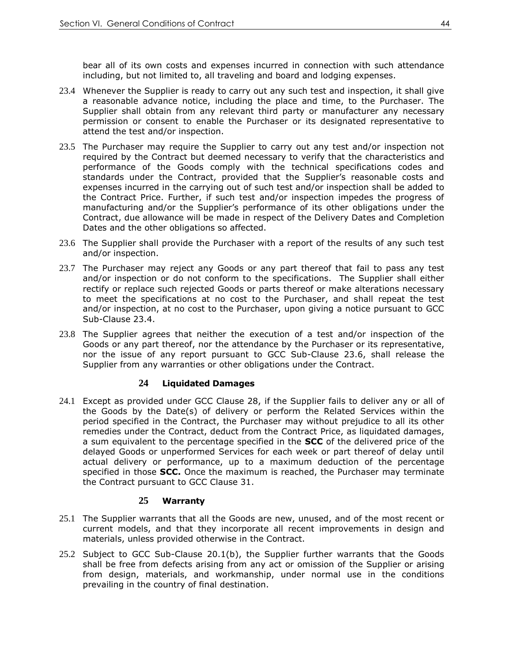bear all of its own costs and expenses incurred in connection with such attendance including, but not limited to, all traveling and board and lodging expenses.

- 23.4 Whenever the Supplier is ready to carry out any such test and inspection, it shall give a reasonable advance notice, including the place and time, to the Purchaser. The Supplier shall obtain from any relevant third party or manufacturer any necessary permission or consent to enable the Purchaser or its designated representative to attend the test and/or inspection.
- 23.5 The Purchaser may require the Supplier to carry out any test and/or inspection not required by the Contract but deemed necessary to verify that the characteristics and performance of the Goods comply with the technical specifications codes and standards under the Contract, provided that the Supplier's reasonable costs and expenses incurred in the carrying out of such test and/or inspection shall be added to the Contract Price. Further, if such test and/or inspection impedes the progress of manufacturing and/or the Supplier's performance of its other obligations under the Contract, due allowance will be made in respect of the Delivery Dates and Completion Dates and the other obligations so affected.
- 23.6 The Supplier shall provide the Purchaser with a report of the results of any such test and/or inspection.
- 23.7 The Purchaser may reject any Goods or any part thereof that fail to pass any test and/or inspection or do not conform to the specifications. The Supplier shall either rectify or replace such rejected Goods or parts thereof or make alterations necessary to meet the specifications at no cost to the Purchaser, and shall repeat the test and/or inspection, at no cost to the Purchaser, upon giving a notice pursuant to GCC Sub-Clause 23.4.
- 23.8 The Supplier agrees that neither the execution of a test and/or inspection of the Goods or any part thereof, nor the attendance by the Purchaser or its representative, nor the issue of any report pursuant to GCC Sub-Clause 23.6, shall release the Supplier from any warranties or other obligations under the Contract.

#### **24 Liquidated Damages**

24.1 Except as provided under GCC Clause 28, if the Supplier fails to deliver any or all of the Goods by the Date(s) of delivery or perform the Related Services within the period specified in the Contract, the Purchaser may without prejudice to all its other remedies under the Contract, deduct from the Contract Price, as liquidated damages, a sum equivalent to the percentage specified in the **SCC** of the delivered price of the delayed Goods or unperformed Services for each week or part thereof of delay until actual delivery or performance, up to a maximum deduction of the percentage specified in those **SCC.** Once the maximum is reached, the Purchaser may terminate the Contract pursuant to GCC Clause 31.

#### **25 Warranty**

- 25.1 The Supplier warrants that all the Goods are new, unused, and of the most recent or current models, and that they incorporate all recent improvements in design and materials, unless provided otherwise in the Contract.
- 25.2 Subject to GCC Sub-Clause 20.1(b), the Supplier further warrants that the Goods shall be free from defects arising from any act or omission of the Supplier or arising from design, materials, and workmanship, under normal use in the conditions prevailing in the country of final destination.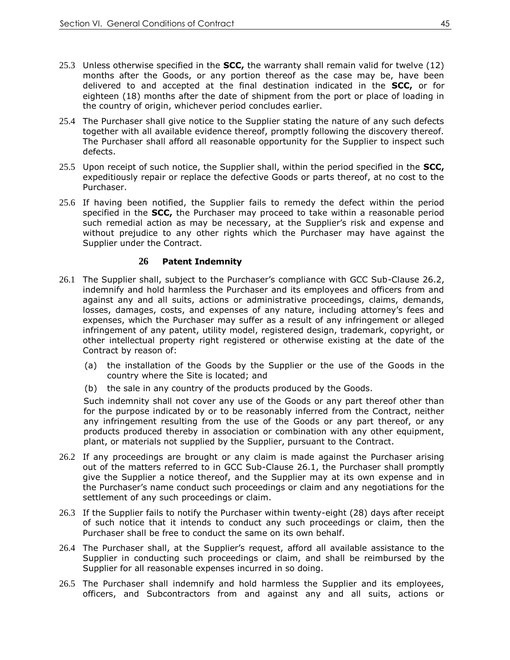- 25.3 Unless otherwise specified in the **SCC,** the warranty shall remain valid for twelve (12) months after the Goods, or any portion thereof as the case may be, have been delivered to and accepted at the final destination indicated in the **SCC,** or for eighteen (18) months after the date of shipment from the port or place of loading in the country of origin, whichever period concludes earlier.
- 25.4 The Purchaser shall give notice to the Supplier stating the nature of any such defects together with all available evidence thereof, promptly following the discovery thereof. The Purchaser shall afford all reasonable opportunity for the Supplier to inspect such defects.
- 25.5 Upon receipt of such notice, the Supplier shall, within the period specified in the **SCC,** expeditiously repair or replace the defective Goods or parts thereof, at no cost to the Purchaser.
- 25.6 If having been notified, the Supplier fails to remedy the defect within the period specified in the **SCC,** the Purchaser may proceed to take within a reasonable period such remedial action as may be necessary, at the Supplier's risk and expense and without prejudice to any other rights which the Purchaser may have against the Supplier under the Contract.

#### **26 Patent Indemnity**

- 26.1 The Supplier shall, subject to the Purchaser's compliance with GCC Sub-Clause 26.2, indemnify and hold harmless the Purchaser and its employees and officers from and against any and all suits, actions or administrative proceedings, claims, demands, losses, damages, costs, and expenses of any nature, including attorney's fees and expenses, which the Purchaser may suffer as a result of any infringement or alleged infringement of any patent, utility model, registered design, trademark, copyright, or other intellectual property right registered or otherwise existing at the date of the Contract by reason of:
	- (a) the installation of the Goods by the Supplier or the use of the Goods in the country where the Site is located; and
	- (b) the sale in any country of the products produced by the Goods.

Such indemnity shall not cover any use of the Goods or any part thereof other than for the purpose indicated by or to be reasonably inferred from the Contract, neither any infringement resulting from the use of the Goods or any part thereof, or any products produced thereby in association or combination with any other equipment, plant, or materials not supplied by the Supplier, pursuant to the Contract.

- 26.2 If any proceedings are brought or any claim is made against the Purchaser arising out of the matters referred to in GCC Sub-Clause 26.1, the Purchaser shall promptly give the Supplier a notice thereof, and the Supplier may at its own expense and in the Purchaser's name conduct such proceedings or claim and any negotiations for the settlement of any such proceedings or claim.
- 26.3 If the Supplier fails to notify the Purchaser within twenty-eight (28) days after receipt of such notice that it intends to conduct any such proceedings or claim, then the Purchaser shall be free to conduct the same on its own behalf.
- 26.4 The Purchaser shall, at the Supplier's request, afford all available assistance to the Supplier in conducting such proceedings or claim, and shall be reimbursed by the Supplier for all reasonable expenses incurred in so doing.
- 26.5 The Purchaser shall indemnify and hold harmless the Supplier and its employees, officers, and Subcontractors from and against any and all suits, actions or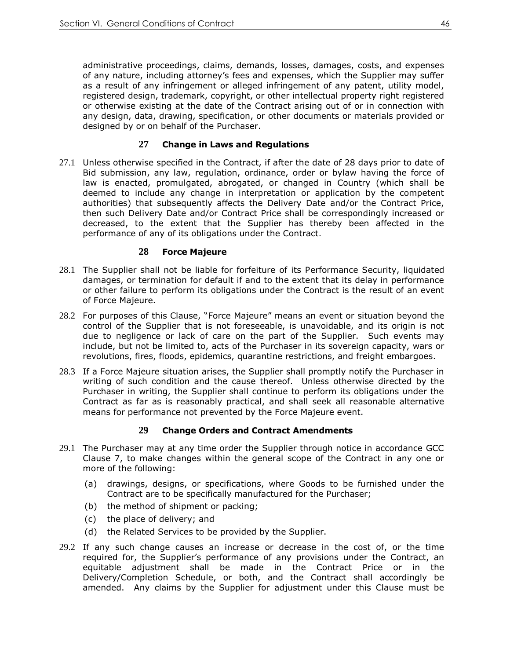administrative proceedings, claims, demands, losses, damages, costs, and expenses of any nature, including attorney's fees and expenses, which the Supplier may suffer as a result of any infringement or alleged infringement of any patent, utility model, registered design, trademark, copyright, or other intellectual property right registered or otherwise existing at the date of the Contract arising out of or in connection with any design, data, drawing, specification, or other documents or materials provided or designed by or on behalf of the Purchaser.

## **27 Change in Laws and Regulations**

27.1 Unless otherwise specified in the Contract, if after the date of 28 days prior to date of Bid submission, any law, regulation, ordinance, order or bylaw having the force of law is enacted, promulgated, abrogated, or changed in Country (which shall be deemed to include any change in interpretation or application by the competent authorities) that subsequently affects the Delivery Date and/or the Contract Price, then such Delivery Date and/or Contract Price shall be correspondingly increased or decreased, to the extent that the Supplier has thereby been affected in the performance of any of its obligations under the Contract.

#### **28 Force Majeure**

- 28.1 The Supplier shall not be liable for forfeiture of its Performance Security, liquidated damages, or termination for default if and to the extent that its delay in performance or other failure to perform its obligations under the Contract is the result of an event of Force Majeure.
- 28.2 For purposes of this Clause, "Force Majeure" means an event or situation beyond the control of the Supplier that is not foreseeable, is unavoidable, and its origin is not due to negligence or lack of care on the part of the Supplier. Such events may include, but not be limited to, acts of the Purchaser in its sovereign capacity, wars or revolutions, fires, floods, epidemics, quarantine restrictions, and freight embargoes.
- 28.3 If a Force Majeure situation arises, the Supplier shall promptly notify the Purchaser in writing of such condition and the cause thereof. Unless otherwise directed by the Purchaser in writing, the Supplier shall continue to perform its obligations under the Contract as far as is reasonably practical, and shall seek all reasonable alternative means for performance not prevented by the Force Majeure event.

# **29 Change Orders and Contract Amendments**

- 29.1 The Purchaser may at any time order the Supplier through notice in accordance GCC Clause 7, to make changes within the general scope of the Contract in any one or more of the following:
	- (a) drawings, designs, or specifications, where Goods to be furnished under the Contract are to be specifically manufactured for the Purchaser;
	- (b) the method of shipment or packing;
	- (c) the place of delivery; and
	- (d) the Related Services to be provided by the Supplier.
- 29.2 If any such change causes an increase or decrease in the cost of, or the time required for, the Supplier's performance of any provisions under the Contract, an equitable adjustment shall be made in the Contract Price or in the Delivery/Completion Schedule, or both, and the Contract shall accordingly be amended. Any claims by the Supplier for adjustment under this Clause must be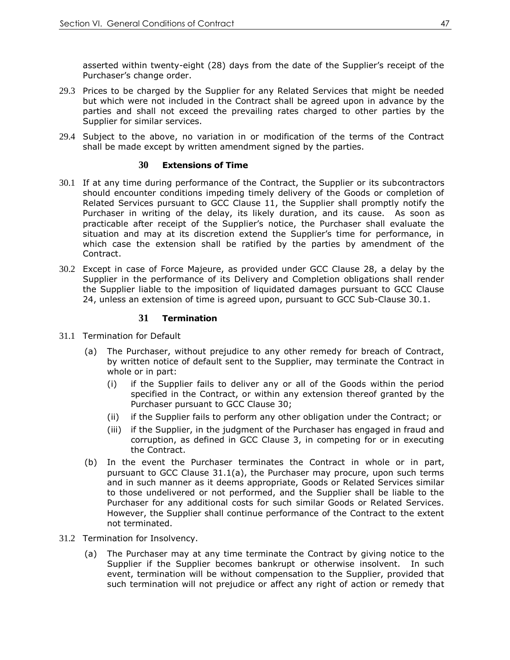asserted within twenty-eight (28) days from the date of the Supplier's receipt of the Purchaser's change order.

- 29.3 Prices to be charged by the Supplier for any Related Services that might be needed but which were not included in the Contract shall be agreed upon in advance by the parties and shall not exceed the prevailing rates charged to other parties by the Supplier for similar services.
- 29.4 Subject to the above, no variation in or modification of the terms of the Contract shall be made except by written amendment signed by the parties.

#### **30 Extensions of Time**

- 30.1 If at any time during performance of the Contract, the Supplier or its subcontractors should encounter conditions impeding timely delivery of the Goods or completion of Related Services pursuant to GCC Clause 11, the Supplier shall promptly notify the Purchaser in writing of the delay, its likely duration, and its cause. As soon as practicable after receipt of the Supplier's notice, the Purchaser shall evaluate the situation and may at its discretion extend the Supplier's time for performance, in which case the extension shall be ratified by the parties by amendment of the Contract.
- 30.2 Except in case of Force Majeure, as provided under GCC Clause 28, a delay by the Supplier in the performance of its Delivery and Completion obligations shall render the Supplier liable to the imposition of liquidated damages pursuant to GCC Clause 24, unless an extension of time is agreed upon, pursuant to GCC Sub-Clause 30.1.

#### **31 Termination**

- 31.1 Termination for Default
	- (a) The Purchaser, without prejudice to any other remedy for breach of Contract, by written notice of default sent to the Supplier, may terminate the Contract in whole or in part:
		- (i) if the Supplier fails to deliver any or all of the Goods within the period specified in the Contract, or within any extension thereof granted by the Purchaser pursuant to GCC Clause 30;
		- (ii) if the Supplier fails to perform any other obligation under the Contract; or
		- (iii) if the Supplier, in the judgment of the Purchaser has engaged in fraud and corruption, as defined in GCC Clause 3, in competing for or in executing the Contract.
	- (b) In the event the Purchaser terminates the Contract in whole or in part, pursuant to GCC Clause 31.1(a), the Purchaser may procure, upon such terms and in such manner as it deems appropriate, Goods or Related Services similar to those undelivered or not performed, and the Supplier shall be liable to the Purchaser for any additional costs for such similar Goods or Related Services. However, the Supplier shall continue performance of the Contract to the extent not terminated.
- 31.2 Termination for Insolvency.
	- (a) The Purchaser may at any time terminate the Contract by giving notice to the Supplier if the Supplier becomes bankrupt or otherwise insolvent. In such event, termination will be without compensation to the Supplier, provided that such termination will not prejudice or affect any right of action or remedy that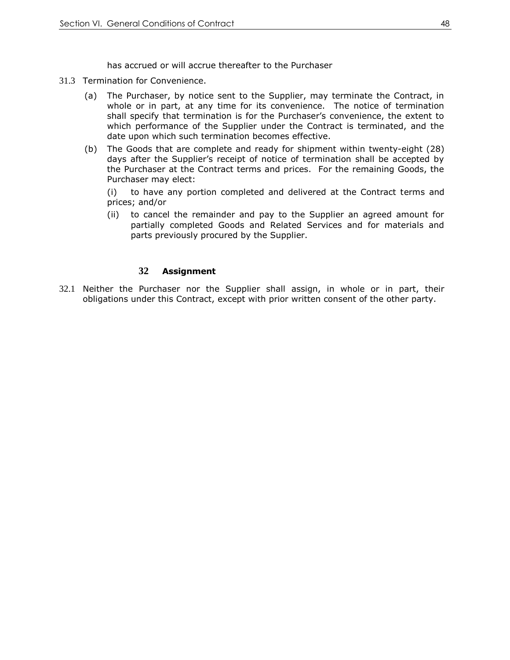has accrued or will accrue thereafter to the Purchaser

- 31.3 Termination for Convenience.
	- (a) The Purchaser, by notice sent to the Supplier, may terminate the Contract, in whole or in part, at any time for its convenience. The notice of termination shall specify that termination is for the Purchaser's convenience, the extent to which performance of the Supplier under the Contract is terminated, and the date upon which such termination becomes effective.
	- (b) The Goods that are complete and ready for shipment within twenty-eight (28) days after the Supplier's receipt of notice of termination shall be accepted by the Purchaser at the Contract terms and prices. For the remaining Goods, the Purchaser may elect:

(i) to have any portion completed and delivered at the Contract terms and prices; and/or

(ii) to cancel the remainder and pay to the Supplier an agreed amount for partially completed Goods and Related Services and for materials and parts previously procured by the Supplier.

#### **32 Assignment**

32.1 Neither the Purchaser nor the Supplier shall assign, in whole or in part, their obligations under this Contract, except with prior written consent of the other party.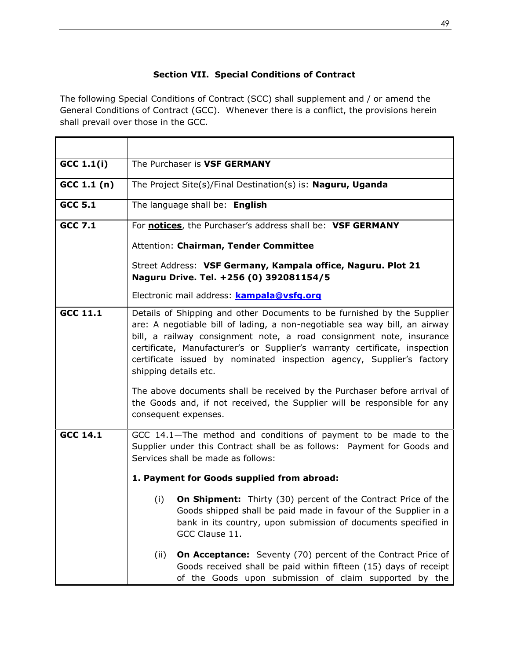# **Section VII. Special Conditions of Contract**

The following Special Conditions of Contract (SCC) shall supplement and / or amend the General Conditions of Contract (GCC). Whenever there is a conflict, the provisions herein shall prevail over those in the GCC*.* 

| $GCC$ 1.1(i)    | The Purchaser is VSF GERMANY                                                                                                                                                                                                                                                                                                                                                                                  |
|-----------------|---------------------------------------------------------------------------------------------------------------------------------------------------------------------------------------------------------------------------------------------------------------------------------------------------------------------------------------------------------------------------------------------------------------|
| GCC 1.1 (n)     | The Project Site(s)/Final Destination(s) is: Naguru, Uganda                                                                                                                                                                                                                                                                                                                                                   |
| <b>GCC 5.1</b>  | The language shall be: English                                                                                                                                                                                                                                                                                                                                                                                |
| <b>GCC 7.1</b>  | For notices, the Purchaser's address shall be: VSF GERMANY                                                                                                                                                                                                                                                                                                                                                    |
|                 | Attention: Chairman, Tender Committee                                                                                                                                                                                                                                                                                                                                                                         |
|                 | Street Address: VSF Germany, Kampala office, Naguru. Plot 21<br>Naguru Drive. Tel. +256 (0) 392081154/5                                                                                                                                                                                                                                                                                                       |
|                 | Electronic mail address: <b>kampala@vsfg.org</b>                                                                                                                                                                                                                                                                                                                                                              |
| GCC 11.1        | Details of Shipping and other Documents to be furnished by the Supplier<br>are: A negotiable bill of lading, a non-negotiable sea way bill, an airway<br>bill, a railway consignment note, a road consignment note, insurance<br>certificate, Manufacturer's or Supplier's warranty certificate, inspection<br>certificate issued by nominated inspection agency, Supplier's factory<br>shipping details etc. |
|                 | The above documents shall be received by the Purchaser before arrival of<br>the Goods and, if not received, the Supplier will be responsible for any<br>consequent expenses.                                                                                                                                                                                                                                  |
| <b>GCC 14.1</b> | GCC 14.1-The method and conditions of payment to be made to the<br>Supplier under this Contract shall be as follows: Payment for Goods and<br>Services shall be made as follows:                                                                                                                                                                                                                              |
|                 | 1. Payment for Goods supplied from abroad:                                                                                                                                                                                                                                                                                                                                                                    |
|                 | <b>On Shipment:</b> Thirty (30) percent of the Contract Price of the<br>(i)<br>Goods shipped shall be paid made in favour of the Supplier in a<br>bank in its country, upon submission of documents specified in<br>GCC Clause 11.                                                                                                                                                                            |
|                 | <b>On Acceptance:</b> Seventy (70) percent of the Contract Price of<br>(ii)<br>Goods received shall be paid within fifteen (15) days of receipt<br>of the Goods upon submission of claim supported by the                                                                                                                                                                                                     |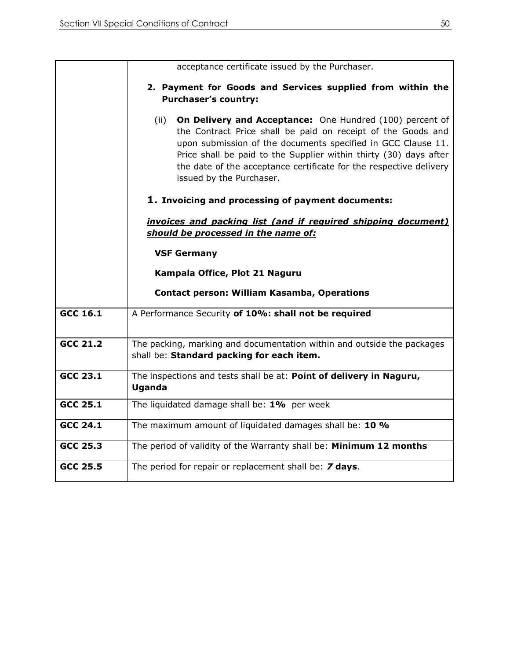|                 | acceptance certificate issued by the Purchaser.                                                                                                                                                                                                                                                                                                                         |
|-----------------|-------------------------------------------------------------------------------------------------------------------------------------------------------------------------------------------------------------------------------------------------------------------------------------------------------------------------------------------------------------------------|
|                 | 2. Payment for Goods and Services supplied from within the<br><b>Purchaser's country:</b>                                                                                                                                                                                                                                                                               |
|                 | (ii)<br>On Delivery and Acceptance: One Hundred (100) percent of<br>the Contract Price shall be paid on receipt of the Goods and<br>upon submission of the documents specified in GCC Clause 11.<br>Price shall be paid to the Supplier within thirty (30) days after<br>the date of the acceptance certificate for the respective delivery<br>issued by the Purchaser. |
|                 | 1. Invoicing and processing of payment documents:                                                                                                                                                                                                                                                                                                                       |
|                 | invoices and packing list (and if required shipping document)<br>should be processed in the name of:                                                                                                                                                                                                                                                                    |
|                 | <b>VSF Germany</b>                                                                                                                                                                                                                                                                                                                                                      |
|                 | Kampala Office, Plot 21 Naguru                                                                                                                                                                                                                                                                                                                                          |
|                 | <b>Contact person: William Kasamba, Operations</b>                                                                                                                                                                                                                                                                                                                      |
| GCC 16.1        | A Performance Security of 10%: shall not be required                                                                                                                                                                                                                                                                                                                    |
| <b>GCC 21.2</b> | The packing, marking and documentation within and outside the packages<br>shall be: Standard packing for each item.                                                                                                                                                                                                                                                     |
| $GCC$ 23.1      | The inspections and tests shall be at: Point of delivery in Naguru,<br><b>Uganda</b>                                                                                                                                                                                                                                                                                    |
| GCC 25.1        | The liquidated damage shall be: 1% per week                                                                                                                                                                                                                                                                                                                             |
| <b>GCC 24.1</b> | The maximum amount of liquidated damages shall be: 10 %                                                                                                                                                                                                                                                                                                                 |
| <b>GCC 25.3</b> | The period of validity of the Warranty shall be: Minimum 12 months                                                                                                                                                                                                                                                                                                      |
| GCC 25.5        | The period for repair or replacement shall be: 7 days.                                                                                                                                                                                                                                                                                                                  |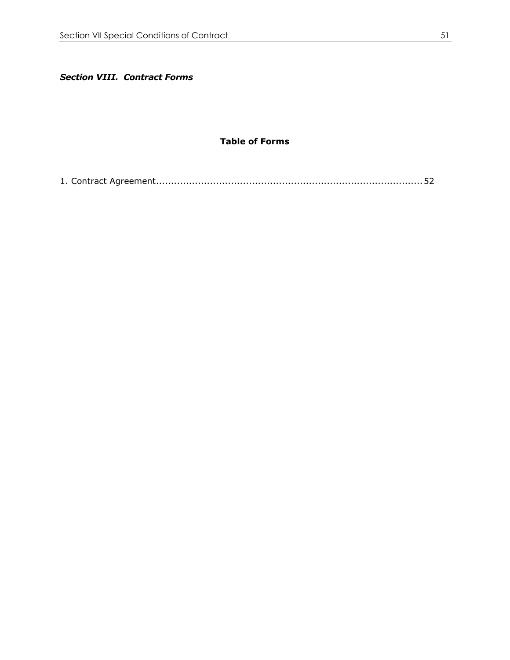*Section VIII. Contract Forms*

## **Table of Forms**

<span id="page-50-0"></span>[1. Contract Agreement.........................................................................................52](#page-51-0)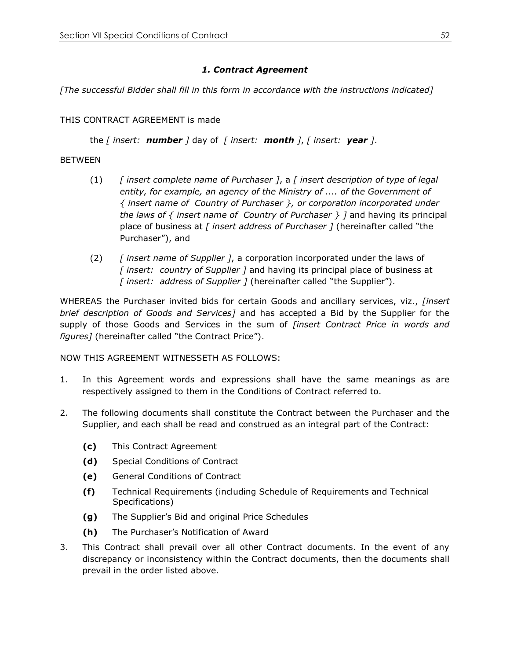# *1. Contract Agreement*

<span id="page-51-0"></span>*[The successful Bidder shall fill in this form in accordance with the instructions indicated]*

# THIS CONTRACT AGREEMENT is made

the *[ insert: number ]* day of *[ insert: month ]*, *[ insert: year ]*.

# BETWEEN

- (1) *[ insert complete name of Purchaser ]*, a *[ insert description of type of legal entity, for example, an agency of the Ministry of .... of the Government of { insert name of Country of Purchaser }, or corporation incorporated under the laws of { insert name of Country of Purchaser } ]* and having its principal place of business at *[ insert address of Purchaser ]* (hereinafter called "the Purchaser"), and
- (2) *[ insert name of Supplier ]*, a corporation incorporated under the laws of *[ insert: country of Supplier ]* and having its principal place of business at *[ insert: address of Supplier ]* (hereinafter called "the Supplier").

WHEREAS the Purchaser invited bids for certain Goods and ancillary services, viz., *[insert brief description of Goods and Services]* and has accepted a Bid by the Supplier for the supply of those Goods and Services in the sum of *[insert Contract Price in words and figures]* (hereinafter called "the Contract Price").

NOW THIS AGREEMENT WITNESSETH AS FOLLOWS:

- 1. In this Agreement words and expressions shall have the same meanings as are respectively assigned to them in the Conditions of Contract referred to.
- 2. The following documents shall constitute the Contract between the Purchaser and the Supplier, and each shall be read and construed as an integral part of the Contract:
	- **(c)** This Contract Agreement
	- **(d)** Special Conditions of Contract
	- **(e)** General Conditions of Contract
	- **(f)** Technical Requirements (including Schedule of Requirements and Technical Specifications)
	- **(g)** The Supplier's Bid and original Price Schedules
	- **(h)** The Purchaser's Notification of Award
- 3. This Contract shall prevail over all other Contract documents. In the event of any discrepancy or inconsistency within the Contract documents, then the documents shall prevail in the order listed above.